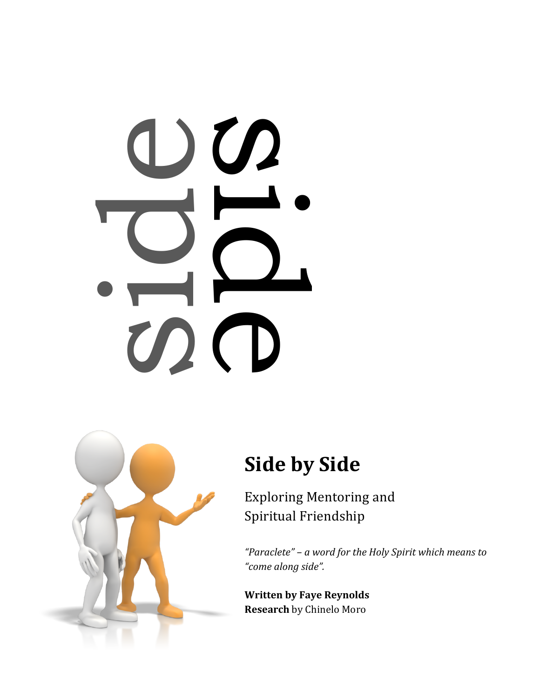# e de la



# **Side by Side**

Exploring Mentoring and Spiritual Friendship

"Paraclete" - a word for the Holy Spirit which means to *"come along side".*

**Written by Faye Reynolds Research** by Chinelo Moro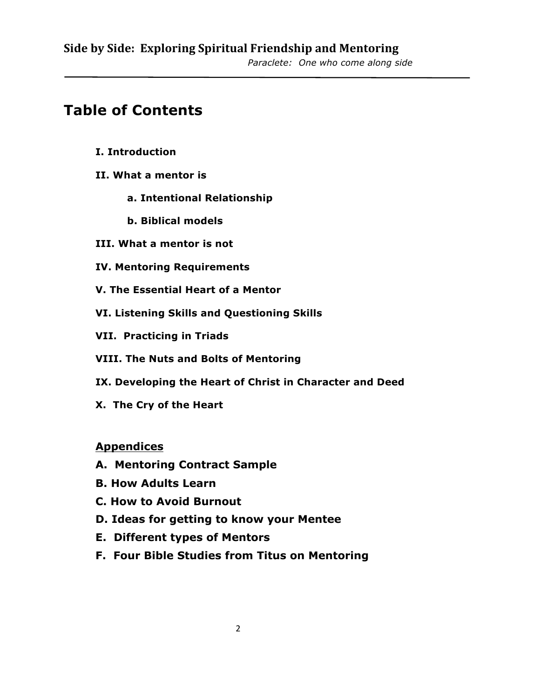# **Table of Contents**

- **I. Introduction**
- **II. What a mentor is** 
	- **a. Intentional Relationship**
	- **b. Biblical models**
- **III. What a mentor is not**
- **IV. Mentoring Requirements**
- **V. The Essential Heart of a Mentor**
- **VI. Listening Skills and Questioning Skills**
- **VII. Practicing in Triads**
- **VIII. The Nuts and Bolts of Mentoring**
- **IX. Developing the Heart of Christ in Character and Deed**
- **X. The Cry of the Heart**

### **Appendices**

- **A. Mentoring Contract Sample**
- **B. How Adults Learn**
- **C. How to Avoid Burnout**
- **D. Ideas for getting to know your Mentee**
- **E. Different types of Mentors**
- **F. Four Bible Studies from Titus on Mentoring**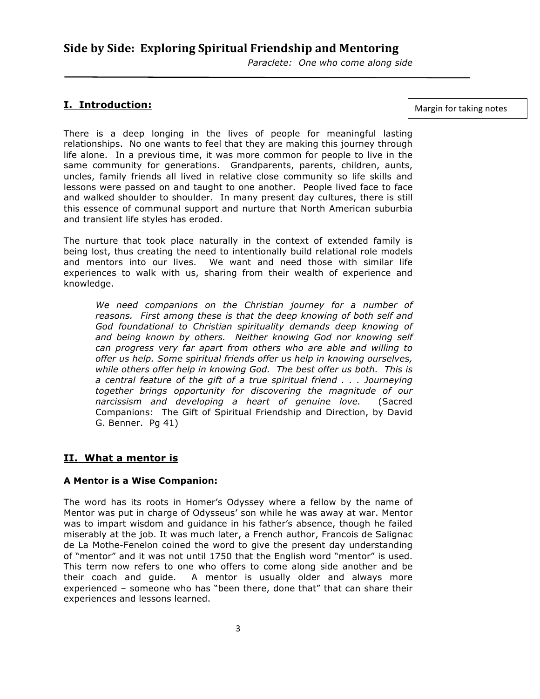### **I. Introduction:**

Margin for taking notes

There is a deep longing in the lives of people for meaningful lasting relationships. No one wants to feel that they are making this journey through life alone. In a previous time, it was more common for people to live in the same community for generations. Grandparents, parents, children, aunts, uncles, family friends all lived in relative close community so life skills and lessons were passed on and taught to one another. People lived face to face and walked shoulder to shoulder. In many present day cultures, there is still this essence of communal support and nurture that North American suburbia and transient life styles has eroded.

The nurture that took place naturally in the context of extended family is being lost, thus creating the need to intentionally build relational role models and mentors into our lives. We want and need those with similar life experiences to walk with us, sharing from their wealth of experience and knowledge.

*We need companions on the Christian journey for a number of reasons. First among these is that the deep knowing of both self and God foundational to Christian spirituality demands deep knowing of and being known by others. Neither knowing God nor knowing self can progress very far apart from others who are able and willing to offer us help. Some spiritual friends offer us help in knowing ourselves, while others offer help in knowing God. The best offer us both. This is a central feature of the gift of a true spiritual friend . . . Journeying together brings opportunity for discovering the magnitude of our narcissism and developing a heart of genuine love.* (Sacred Companions: The Gift of Spiritual Friendship and Direction, by David G. Benner. Pg 41)

### **II. What a mentor is**

### **A Mentor is a Wise Companion:**

The word has its roots in Homer's Odyssey where a fellow by the name of Mentor was put in charge of Odysseus' son while he was away at war. Mentor was to impart wisdom and guidance in his father's absence, though he failed miserably at the job. It was much later, a French author, Francois de Salignac de La Mothe-Fenelon coined the word to give the present day understanding of "mentor" and it was not until 1750 that the English word "mentor" is used. This term now refers to one who offers to come along side another and be their coach and guide. A mentor is usually older and always more experienced – someone who has "been there, done that" that can share their experiences and lessons learned.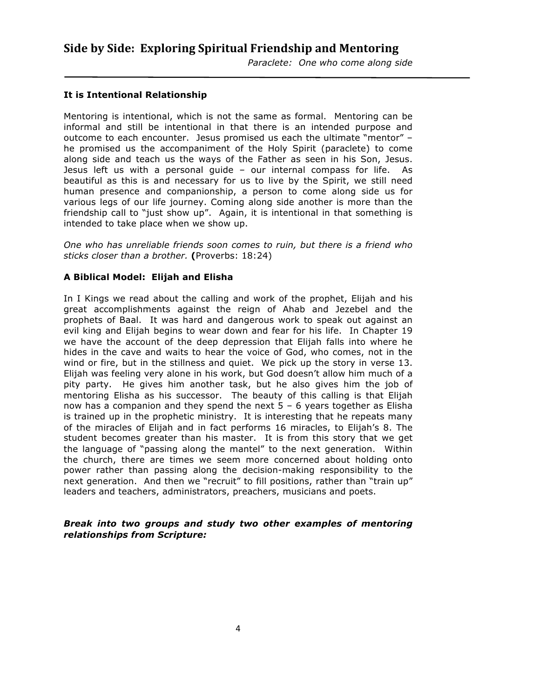### **It is Intentional Relationship**

Mentoring is intentional, which is not the same as formal. Mentoring can be informal and still be intentional in that there is an intended purpose and outcome to each encounter. Jesus promised us each the ultimate "mentor" – he promised us the accompaniment of the Holy Spirit (paraclete) to come along side and teach us the ways of the Father as seen in his Son, Jesus. Jesus left us with a personal guide – our internal compass for life. As beautiful as this is and necessary for us to live by the Spirit, we still need human presence and companionship, a person to come along side us for various legs of our life journey. Coming along side another is more than the friendship call to "just show up". Again, it is intentional in that something is intended to take place when we show up.

*One who has unreliable friends soon comes to ruin, but there is a friend who sticks closer than a brother.* **(**Proverbs: 18:24)

### **A Biblical Model: Elijah and Elisha**

In I Kings we read about the calling and work of the prophet, Elijah and his great accomplishments against the reign of Ahab and Jezebel and the prophets of Baal. It was hard and dangerous work to speak out against an evil king and Elijah begins to wear down and fear for his life. In Chapter 19 we have the account of the deep depression that Elijah falls into where he hides in the cave and waits to hear the voice of God, who comes, not in the wind or fire, but in the stillness and quiet. We pick up the story in verse 13. Elijah was feeling very alone in his work, but God doesn't allow him much of a pity party. He gives him another task, but he also gives him the job of mentoring Elisha as his successor. The beauty of this calling is that Elijah now has a companion and they spend the next 5 – 6 years together as Elisha is trained up in the prophetic ministry. It is interesting that he repeats many of the miracles of Elijah and in fact performs 16 miracles, to Elijah's 8. The student becomes greater than his master. It is from this story that we get the language of "passing along the mantel" to the next generation. Within the church, there are times we seem more concerned about holding onto power rather than passing along the decision-making responsibility to the next generation. And then we "recruit" to fill positions, rather than "train up" leaders and teachers, administrators, preachers, musicians and poets.

### *Break into two groups and study two other examples of mentoring relationships from Scripture:*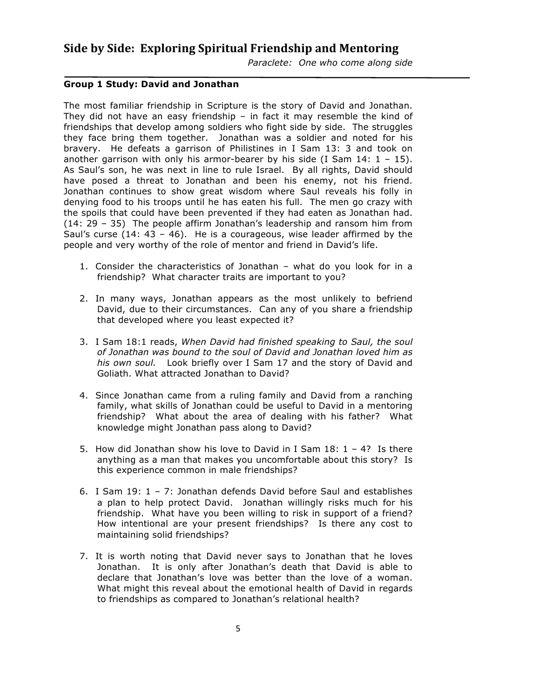### **Group 1 Study: David and Jonathan**

The most familiar friendship in Scripture is the story of David and Jonathan. They did not have an easy friendship  $-$  in fact it may resemble the kind of friendships that develop among soldiers who fight side by side. The struggles they face bring them together. Jonathan was a soldier and noted for his bravery. He defeats a garrison of Philistines in I Sam 13: 3 and took on another garrison with only his armor-bearer by his side (I Sam  $14: 1 - 15$ ). As Saul's son, he was next in line to rule Israel. By all rights, David should have posed a threat to Jonathan and been his enemy, not his friend. Jonathan continues to show great wisdom where Saul reveals his folly in denying food to his troops until he has eaten his full. The men go crazy with the spoils that could have been prevented if they had eaten as Jonathan had. (14: 29 – 35) The people affirm Jonathan's leadership and ransom him from Saul's curse  $(14: 43 - 46)$ . He is a courageous, wise leader affirmed by the people and very worthy of the role of mentor and friend in David's life.

- 1. Consider the characteristics of Jonathan what do you look for in a friendship? What character traits are important to you?
- 2. In many ways, Jonathan appears as the most unlikely to befriend David, due to their circumstances. Can any of you share a friendship that developed where you least expected it?
- 3. I Sam 18:1 reads, *When David had finished speaking to Saul, the soul of Jonathan was bound to the soul of David and Jonathan loved him as his own soul.* Look briefly over I Sam 17 and the story of David and Goliath. What attracted Jonathan to David?
- 4. Since Jonathan came from a ruling family and David from a ranching family, what skills of Jonathan could be useful to David in a mentoring friendship? What about the area of dealing with his father? What knowledge might Jonathan pass along to David?
- 5. How did Jonathan show his love to David in I Sam  $18: 1 4$ ? Is there anything as a man that makes you uncomfortable about this story? Is this experience common in male friendships?
- 6. I Sam 19: 1 7: Jonathan defends David before Saul and establishes a plan to help protect David. Jonathan willingly risks much for his friendship. What have you been willing to risk in support of a friend? How intentional are your present friendships? Is there any cost to maintaining solid friendships?
- 7. It is worth noting that David never says to Jonathan that he loves Jonathan. It is only after Jonathan's death that David is able to declare that Jonathan's love was better than the love of a woman. What might this reveal about the emotional health of David in regards to friendships as compared to Jonathan's relational health?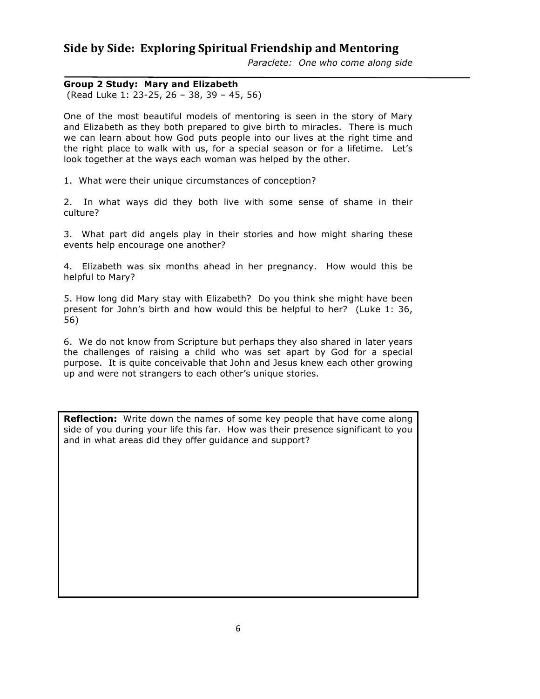*Paraclete: One who come along side* 

### **Group 2 Study: Mary and Elizabeth**

(Read Luke 1: 23-25, 26 – 38, 39 – 45, 56)

One of the most beautiful models of mentoring is seen in the story of Mary and Elizabeth as they both prepared to give birth to miracles. There is much we can learn about how God puts people into our lives at the right time and the right place to walk with us, for a special season or for a lifetime. Let's look together at the ways each woman was helped by the other.

1. What were their unique circumstances of conception?

2. In what ways did they both live with some sense of shame in their culture?

3. What part did angels play in their stories and how might sharing these events help encourage one another?

4. Elizabeth was six months ahead in her pregnancy. How would this be helpful to Mary?

5. How long did Mary stay with Elizabeth? Do you think she might have been present for John's birth and how would this be helpful to her? (Luke 1: 36, 56)

6. We do not know from Scripture but perhaps they also shared in later years the challenges of raising a child who was set apart by God for a special purpose. It is quite conceivable that John and Jesus knew each other growing up and were not strangers to each other's unique stories.

**Reflection:** Write down the names of some key people that have come along side of you during your life this far. How was their presence significant to you and in what areas did they offer guidance and support?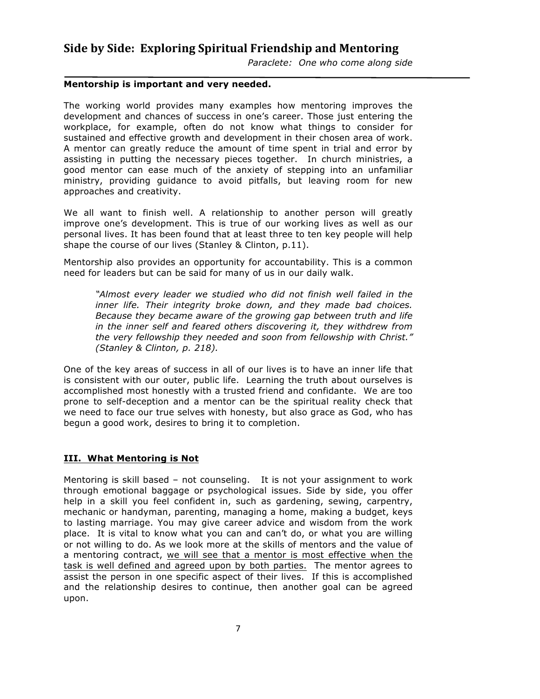*Paraclete: One who come along side* 

### **Mentorship is important and very needed.**

The working world provides many examples how mentoring improves the development and chances of success in one's career. Those just entering the workplace, for example, often do not know what things to consider for sustained and effective growth and development in their chosen area of work. A mentor can greatly reduce the amount of time spent in trial and error by assisting in putting the necessary pieces together. In church ministries, a good mentor can ease much of the anxiety of stepping into an unfamiliar ministry, providing guidance to avoid pitfalls, but leaving room for new approaches and creativity.

We all want to finish well. A relationship to another person will greatly improve one's development. This is true of our working lives as well as our personal lives. It has been found that at least three to ten key people will help shape the course of our lives (Stanley & Clinton, p.11).

Mentorship also provides an opportunity for accountability. This is a common need for leaders but can be said for many of us in our daily walk.

*"Almost every leader we studied who did not finish well failed in the inner life. Their integrity broke down, and they made bad choices. Because they became aware of the growing gap between truth and life in the inner self and feared others discovering it, they withdrew from the very fellowship they needed and soon from fellowship with Christ." (Stanley & Clinton, p. 218).*

One of the key areas of success in all of our lives is to have an inner life that is consistent with our outer, public life. Learning the truth about ourselves is accomplished most honestly with a trusted friend and confidante. We are too prone to self-deception and a mentor can be the spiritual reality check that we need to face our true selves with honesty, but also grace as God, who has begun a good work, desires to bring it to completion.

### **III. What Mentoring is Not**

Mentoring is skill based – not counseling. It is not your assignment to work through emotional baggage or psychological issues. Side by side, you offer help in a skill you feel confident in, such as gardening, sewing, carpentry, mechanic or handyman, parenting, managing a home, making a budget, keys to lasting marriage. You may give career advice and wisdom from the work place. It is vital to know what you can and can't do, or what you are willing or not willing to do. As we look more at the skills of mentors and the value of a mentoring contract, we will see that a mentor is most effective when the task is well defined and agreed upon by both parties. The mentor agrees to assist the person in one specific aspect of their lives. If this is accomplished and the relationship desires to continue, then another goal can be agreed upon.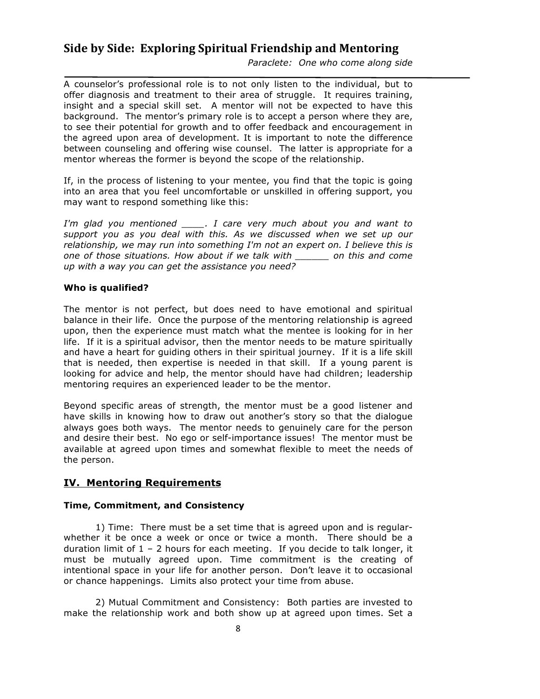*Paraclete: One who come along side* 

A counselor's professional role is to not only listen to the individual, but to offer diagnosis and treatment to their area of struggle. It requires training, insight and a special skill set. A mentor will not be expected to have this background. The mentor's primary role is to accept a person where they are, to see their potential for growth and to offer feedback and encouragement in the agreed upon area of development. It is important to note the difference between counseling and offering wise counsel. The latter is appropriate for a mentor whereas the former is beyond the scope of the relationship.

If, in the process of listening to your mentee, you find that the topic is going into an area that you feel uncomfortable or unskilled in offering support, you may want to respond something like this:

*I'm glad you mentioned \_\_\_\_. I care very much about you and want to support you as you deal with this. As we discussed when we set up our relationship, we may run into something I'm not an expert on. I believe this is one of those situations. How about if we talk with \_\_\_\_\_\_ on this and come up with a way you can get the assistance you need?*

### **Who is qualified?**

The mentor is not perfect, but does need to have emotional and spiritual balance in their life. Once the purpose of the mentoring relationship is agreed upon, then the experience must match what the mentee is looking for in her life. If it is a spiritual advisor, then the mentor needs to be mature spiritually and have a heart for guiding others in their spiritual journey. If it is a life skill that is needed, then expertise is needed in that skill. If a young parent is looking for advice and help, the mentor should have had children; leadership mentoring requires an experienced leader to be the mentor.

Beyond specific areas of strength, the mentor must be a good listener and have skills in knowing how to draw out another's story so that the dialogue always goes both ways. The mentor needs to genuinely care for the person and desire their best. No ego or self-importance issues! The mentor must be available at agreed upon times and somewhat flexible to meet the needs of the person.

### **IV. Mentoring Requirements**

### **Time, Commitment, and Consistency**

1) Time: There must be a set time that is agreed upon and is regularwhether it be once a week or once or twice a month. There should be a duration limit of  $1 - 2$  hours for each meeting. If you decide to talk longer, it must be mutually agreed upon. Time commitment is the creating of intentional space in your life for another person. Don't leave it to occasional or chance happenings. Limits also protect your time from abuse.

2) Mutual Commitment and Consistency: Both parties are invested to make the relationship work and both show up at agreed upon times. Set a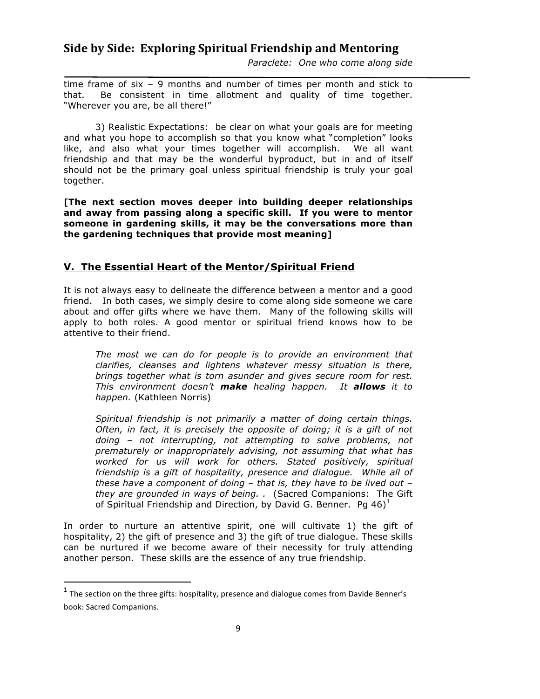*Paraclete: One who come along side* 

time frame of six – 9 months and number of times per month and stick to that. Be consistent in time allotment and quality of time together. "Wherever you are, be all there!"

3) Realistic Expectations: be clear on what your goals are for meeting and what you hope to accomplish so that you know what "completion" looks like, and also what your times together will accomplish. We all want friendship and that may be the wonderful byproduct, but in and of itself should not be the primary goal unless spiritual friendship is truly your goal together.

**[The next section moves deeper into building deeper relationships and away from passing along a specific skill. If you were to mentor someone in gardening skills, it may be the conversations more than the gardening techniques that provide most meaning]**

### **V. The Essential Heart of the Mentor/Spiritual Friend**

It is not always easy to delineate the difference between a mentor and a good friend. In both cases, we simply desire to come along side someone we care about and offer gifts where we have them. Many of the following skills will apply to both roles. A good mentor or spiritual friend knows how to be attentive to their friend.

*The most we can do for people is to provide an environment that clarifies, cleanses and lightens whatever messy situation is there, brings together what is torn asunder and gives secure room for rest. This environment doesn't make healing happen. It allows it to happen.* (Kathleen Norris)

*Spiritual friendship is not primarily a matter of doing certain things. Often, in fact, it is precisely the opposite of doing; it is a gift of not doing – not interrupting, not attempting to solve problems, not prematurely or inappropriately advising, not assuming that what has worked for us will work for others. Stated positively, spiritual friendship is a gift of hospitality, presence and dialogue. While all of these have a component of doing – that is, they have to be lived out – they are grounded in ways of being. .* (Sacred Companions: The Gift of Spiritual Friendship and Direction, by David G. Benner. Pg  $46)^1$ 

In order to nurture an attentive spirit, one will cultivate 1) the gift of hospitality, 2) the gift of presence and 3) the gift of true dialogue. These skills can be nurtured if we become aware of their necessity for truly attending another person. These skills are the essence of any true friendship.

 

 $1$  The section on the three gifts: hospitality, presence and dialogue comes from Davide Benner's book: Sacred Companions.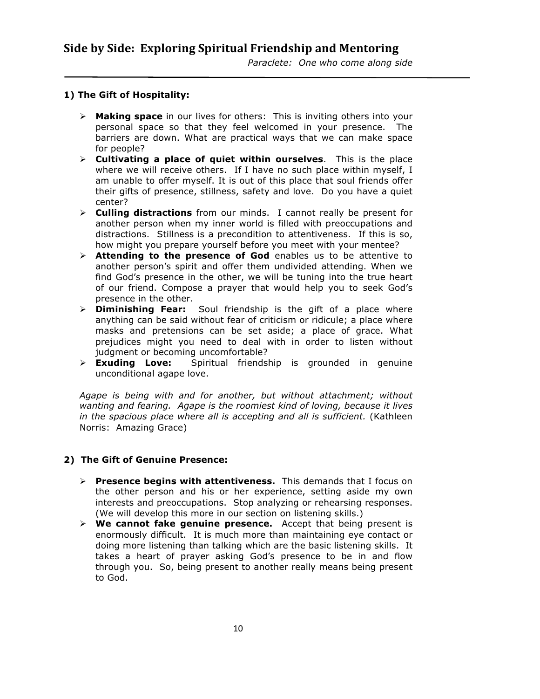### **1) The Gift of Hospitality:**

- Ø **Making space** in our lives for others: This is inviting others into your personal space so that they feel welcomed in your presence. The barriers are down. What are practical ways that we can make space for people?
- Ø **Cultivating a place of quiet within ourselves**. This is the place where we will receive others. If I have no such place within myself, I am unable to offer myself. It is out of this place that soul friends offer their gifts of presence, stillness, safety and love. Do you have a quiet center?
- Ø **Culling distractions** from our minds. I cannot really be present for another person when my inner world is filled with preoccupations and distractions. Stillness is a precondition to attentiveness. If this is so, how might you prepare yourself before you meet with your mentee?
- Ø **Attending to the presence of God** enables us to be attentive to another person's spirit and offer them undivided attending. When we find God's presence in the other, we will be tuning into the true heart of our friend. Compose a prayer that would help you to seek God's presence in the other.
- Ø **Diminishing Fear:** Soul friendship is the gift of a place where anything can be said without fear of criticism or ridicule; a place where masks and pretensions can be set aside; a place of grace. What prejudices might you need to deal with in order to listen without judgment or becoming uncomfortable?
- Ø **Exuding Love:** Spiritual friendship is grounded in genuine unconditional agape love.

*Agape is being with and for another, but without attachment; without wanting and fearing. Agape is the roomiest kind of loving, because it lives in the spacious place where all is accepting and all is sufficient.* (Kathleen Norris: Amazing Grace)

### **2) The Gift of Genuine Presence:**

- Ø **Presence begins with attentiveness.** This demands that I focus on the other person and his or her experience, setting aside my own interests and preoccupations. Stop analyzing or rehearsing responses. (We will develop this more in our section on listening skills.)
- Ø **We cannot fake genuine presence.** Accept that being present is enormously difficult. It is much more than maintaining eye contact or doing more listening than talking which are the basic listening skills. It takes a heart of prayer asking God's presence to be in and flow through you. So, being present to another really means being present to God.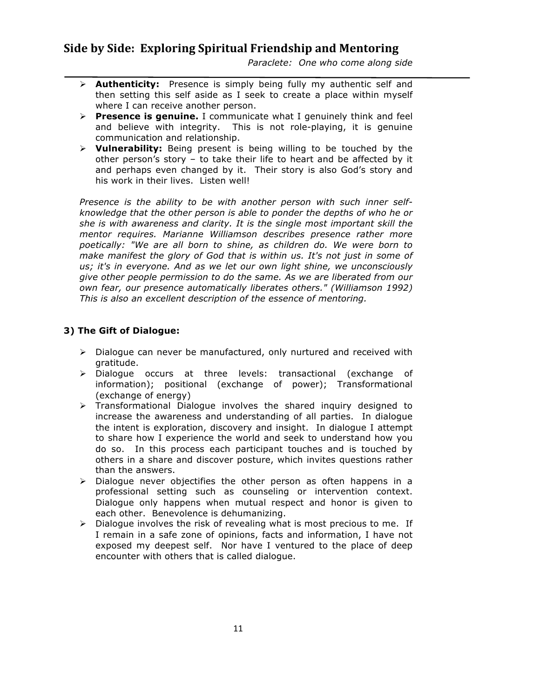*Paraclete: One who come along side* 

- Ø **Authenticity:** Presence is simply being fully my authentic self and then setting this self aside as I seek to create a place within myself where I can receive another person.
- Ø **Presence is genuine.** I communicate what I genuinely think and feel and believe with integrity. This is not role-playing, it is genuine communication and relationship.
- Ø **Vulnerability:** Being present is being willing to be touched by the other person's story – to take their life to heart and be affected by it and perhaps even changed by it. Their story is also God's story and his work in their lives. Listen well!

*Presence is the ability to be with another person with such inner selfknowledge that the other person is able to ponder the depths of who he or she is with awareness and clarity. It is the single most important skill the mentor requires. Marianne Williamson describes presence rather more poetically: "We are all born to shine, as children do. We were born to make manifest the glory of God that is within us. It's not just in some of us; it's in everyone. And as we let our own light shine, we unconsciously give other people permission to do the same. As we are liberated from our own fear, our presence automatically liberates others." (Williamson 1992) This is also an excellent description of the essence of mentoring.*

### **3) The Gift of Dialogue:**

- $\triangleright$  Dialogue can never be manufactured, only nurtured and received with gratitude.
- Ø Dialogue occurs at three levels: transactional (exchange of information); positional (exchange of power); Transformational (exchange of energy)
- $\triangleright$  Transformational Dialogue involves the shared inquiry designed to increase the awareness and understanding of all parties. In dialogue the intent is exploration, discovery and insight. In dialogue I attempt to share how I experience the world and seek to understand how you do so. In this process each participant touches and is touched by others in a share and discover posture, which invites questions rather than the answers.
- $\triangleright$  Dialogue never objectifies the other person as often happens in a professional setting such as counseling or intervention context. Dialogue only happens when mutual respect and honor is given to each other. Benevolence is dehumanizing.
- $\triangleright$  Dialogue involves the risk of revealing what is most precious to me. If I remain in a safe zone of opinions, facts and information, I have not exposed my deepest self. Nor have I ventured to the place of deep encounter with others that is called dialogue.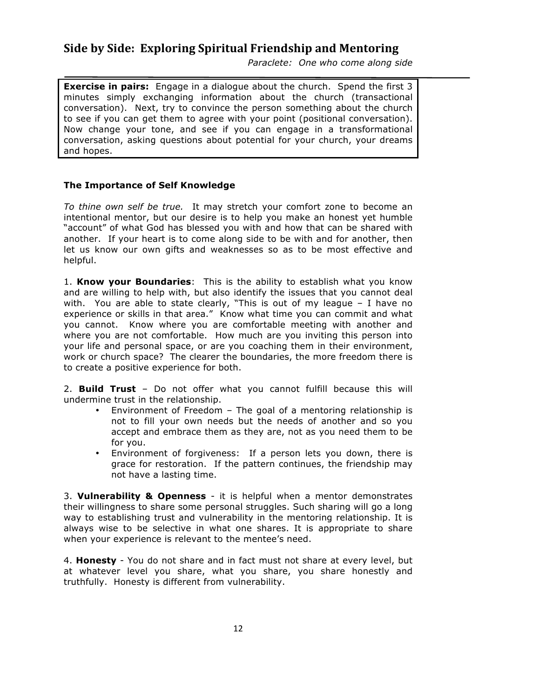*Paraclete: One who come along side* 

**Exercise in pairs:** Engage in a dialogue about the church. Spend the first 3 minutes simply exchanging information about the church (transactional conversation). Next, try to convince the person something about the church to see if you can get them to agree with your point (positional conversation). Now change your tone, and see if you can engage in a transformational conversation, asking questions about potential for your church, your dreams and hopes.

### **The Importance of Self Knowledge**

*To thine own self be true.* It may stretch your comfort zone to become an intentional mentor, but our desire is to help you make an honest yet humble "account" of what God has blessed you with and how that can be shared with another. If your heart is to come along side to be with and for another, then let us know our own gifts and weaknesses so as to be most effective and helpful.

1. **Know your Boundaries**: This is the ability to establish what you know and are willing to help with, but also identify the issues that you cannot deal with. You are able to state clearly, "This is out of my league – I have no experience or skills in that area." Know what time you can commit and what you cannot. Know where you are comfortable meeting with another and where you are not comfortable. How much are you inviting this person into your life and personal space, or are you coaching them in their environment, work or church space? The clearer the boundaries, the more freedom there is to create a positive experience for both.

2. **Build Trust** – Do not offer what you cannot fulfill because this will undermine trust in the relationship.

- Environment of Freedom The goal of a mentoring relationship is not to fill your own needs but the needs of another and so you accept and embrace them as they are, not as you need them to be for you.
- Environment of forgiveness: If a person lets you down, there is grace for restoration. If the pattern continues, the friendship may not have a lasting time.

3. **Vulnerability & Openness** - it is helpful when a mentor demonstrates their willingness to share some personal struggles. Such sharing will go a long way to establishing trust and vulnerability in the mentoring relationship. It is always wise to be selective in what one shares. It is appropriate to share when your experience is relevant to the mentee's need.

4. **Honesty** - You do not share and in fact must not share at every level, but at whatever level you share, what you share, you share honestly and truthfully. Honesty is different from vulnerability.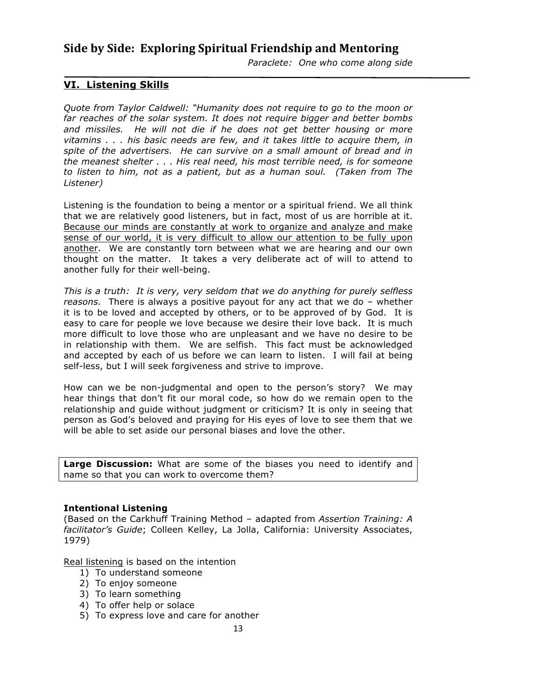*Paraclete: One who come along side* 

### **VI. Listening Skills**

*Quote from Taylor Caldwell: "Humanity does not require to go to the moon or far reaches of the solar system. It does not require bigger and better bombs and missiles. He will not die if he does not get better housing or more vitamins . . . his basic needs are few, and it takes little to acquire them, in spite of the advertisers. He can survive on a small amount of bread and in the meanest shelter . . . His real need, his most terrible need, is for someone to listen to him, not as a patient, but as a human soul. (Taken from The Listener)*

Listening is the foundation to being a mentor or a spiritual friend. We all think that we are relatively good listeners, but in fact, most of us are horrible at it. Because our minds are constantly at work to organize and analyze and make sense of our world, it is very difficult to allow our attention to be fully upon another. We are constantly torn between what we are hearing and our own thought on the matter. It takes a very deliberate act of will to attend to another fully for their well-being.

*This is a truth: It is very, very seldom that we do anything for purely selfless reasons.* There is always a positive payout for any act that we do – whether it is to be loved and accepted by others, or to be approved of by God. It is easy to care for people we love because we desire their love back. It is much more difficult to love those who are unpleasant and we have no desire to be in relationship with them. We are selfish. This fact must be acknowledged and accepted by each of us before we can learn to listen. I will fail at being self-less, but I will seek forgiveness and strive to improve.

How can we be non-judgmental and open to the person's story? We may hear things that don't fit our moral code, so how do we remain open to the relationship and guide without judgment or criticism? It is only in seeing that person as God's beloved and praying for His eyes of love to see them that we will be able to set aside our personal biases and love the other.

**Large Discussion:** What are some of the biases you need to identify and name so that you can work to overcome them?

### **Intentional Listening**

(Based on the Carkhuff Training Method – adapted from *Assertion Training: A facilitator's Guide*; Colleen Kelley, La Jolla, California: University Associates, 1979)

Real listening is based on the intention

- 1) To understand someone
- 2) To enjoy someone
- 3) To learn something
- 4) To offer help or solace
- 5) To express love and care for another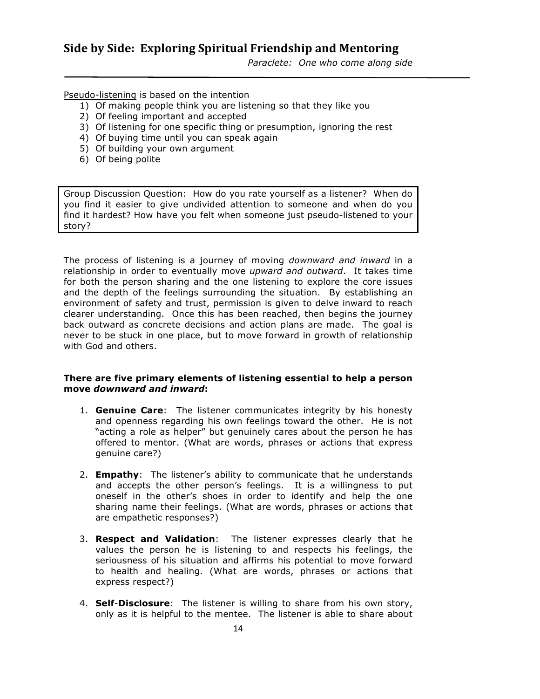*Paraclete: One who come along side* 

Pseudo-listening is based on the intention

- 1) Of making people think you are listening so that they like you
- 2) Of feeling important and accepted
- 3) Of listening for one specific thing or presumption, ignoring the rest
- 4) Of buying time until you can speak again
- 5) Of building your own argument
- 6) Of being polite

Group Discussion Question: How do you rate yourself as a listener? When do you find it easier to give undivided attention to someone and when do you find it hardest? How have you felt when someone just pseudo-listened to your story?

The process of listening is a journey of moving *downward and inward* in a relationship in order to eventually move *upward and outward*. It takes time for both the person sharing and the one listening to explore the core issues and the depth of the feelings surrounding the situation. By establishing an environment of safety and trust, permission is given to delve inward to reach clearer understanding. Once this has been reached, then begins the journey back outward as concrete decisions and action plans are made. The goal is never to be stuck in one place, but to move forward in growth of relationship with God and others.

### **There are five primary elements of listening essential to help a person move** *downward and inward***:**

- 1. **Genuine Care**: The listener communicates integrity by his honesty and openness regarding his own feelings toward the other. He is not "acting a role as helper" but genuinely cares about the person he has offered to mentor. (What are words, phrases or actions that express genuine care?)
- 2. **Empathy**: The listener's ability to communicate that he understands and accepts the other person's feelings. It is a willingness to put oneself in the other's shoes in order to identify and help the one sharing name their feelings. (What are words, phrases or actions that are empathetic responses?)
- 3. **Respect and Validation**: The listener expresses clearly that he values the person he is listening to and respects his feelings, the seriousness of his situation and affirms his potential to move forward to health and healing. (What are words, phrases or actions that express respect?)
- 4. **Self**-**Disclosure**: The listener is willing to share from his own story, only as it is helpful to the mentee. The listener is able to share about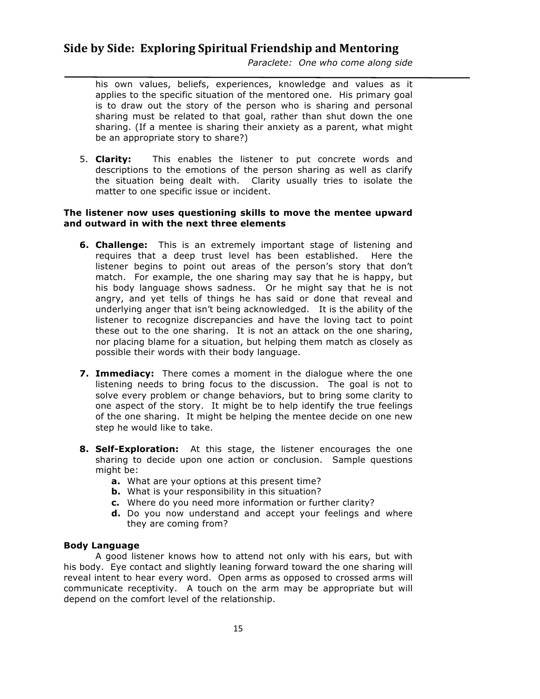*Paraclete: One who come along side* 

his own values, beliefs, experiences, knowledge and values as it applies to the specific situation of the mentored one. His primary goal is to draw out the story of the person who is sharing and personal sharing must be related to that goal, rather than shut down the one sharing. (If a mentee is sharing their anxiety as a parent, what might be an appropriate story to share?)

5. **Clarity:** This enables the listener to put concrete words and descriptions to the emotions of the person sharing as well as clarify the situation being dealt with. Clarity usually tries to isolate the matter to one specific issue or incident.

### **The listener now uses questioning skills to move the mentee upward and outward in with the next three elements**

- **6. Challenge:** This is an extremely important stage of listening and requires that a deep trust level has been established. Here the listener begins to point out areas of the person's story that don't match. For example, the one sharing may say that he is happy, but his body language shows sadness. Or he might say that he is not angry, and yet tells of things he has said or done that reveal and underlying anger that isn't being acknowledged. It is the ability of the listener to recognize discrepancies and have the loving tact to point these out to the one sharing. It is not an attack on the one sharing, nor placing blame for a situation, but helping them match as closely as possible their words with their body language.
- **7. Immediacy:** There comes a moment in the dialogue where the one listening needs to bring focus to the discussion. The goal is not to solve every problem or change behaviors, but to bring some clarity to one aspect of the story. It might be to help identify the true feelings of the one sharing. It might be helping the mentee decide on one new step he would like to take.
- **8. Self-Exploration:** At this stage, the listener encourages the one sharing to decide upon one action or conclusion. Sample questions might be:
	- **a.** What are your options at this present time?
	- **b.** What is your responsibility in this situation?
	- **c.** Where do you need more information or further clarity?
	- **d.** Do you now understand and accept your feelings and where they are coming from?

### **Body Language**

A good listener knows how to attend not only with his ears, but with his body. Eye contact and slightly leaning forward toward the one sharing will reveal intent to hear every word. Open arms as opposed to crossed arms will communicate receptivity. A touch on the arm may be appropriate but will depend on the comfort level of the relationship.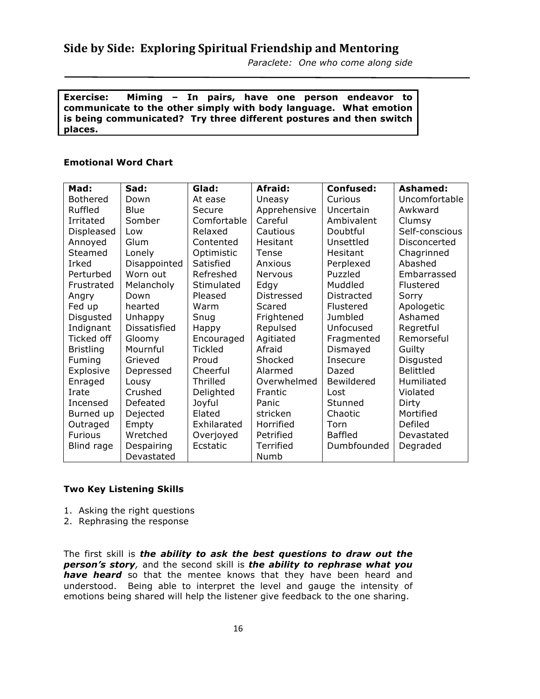*Paraclete: One who come along side* 

**Exercise: Miming – In pairs, have one person endeavor to communicate to the other simply with body language. What emotion is being communicated? Try three different postures and then switch places.**

### **Emotional Word Chart**

| Mad:             | Sad:         | Glad:          | Afraid:      | <b>Confused:</b> | Ashamed:         |
|------------------|--------------|----------------|--------------|------------------|------------------|
| <b>Bothered</b>  | Down         | At ease        | Uneasy       | Curious          | Uncomfortable    |
| Ruffled          | Blue         | Secure         | Apprehensive | Uncertain        | Awkward          |
| Irritated        | Somber       | Comfortable    | Careful      | Ambivalent       | Clumsy           |
| Displeased       | Low          | Relaxed        | Cautious     | Doubtful         | Self-conscious   |
| Annoyed          | Glum         | Contented      | Hesitant     | Unsettled        | Disconcerted     |
| Steamed          | Lonely       | Optimistic     | <b>Tense</b> | Hesitant         | Chagrinned       |
| Irked            | Disappointed | Satisfied      | Anxious      | Perplexed        | Abashed          |
| Perturbed        | Worn out     | Refreshed      | Nervous      | Puzzled          | Embarrassed      |
| Frustrated       | Melancholy   | Stimulated     | Edgy         | Muddled          | Flustered        |
| Angry            | Down         | Pleased        | Distressed   | Distracted       | Sorry            |
| Fed up           | hearted      | Warm           | Scared       | Flustered        | Apologetic       |
| Disgusted        | Unhappy      | Snug           | Frightened   | Jumbled          | Ashamed          |
| Indignant        | Dissatisfied | Happy          | Repulsed     | Unfocused        | Regretful        |
| Ticked off       | Gloomy       | Encouraged     | Agitiated    | Fragmented       | Remorseful       |
| <b>Bristling</b> | Mournful     | <b>Tickled</b> | Afraid       | Dismayed         | Guilty           |
| Fuming           | Grieved      | Proud          | Shocked      | <b>Insecure</b>  | Disgusted        |
| Explosive        | Depressed    | Cheerful       | Alarmed      | Dazed            | <b>Belittled</b> |
| Enraged          | Lousy        | Thrilled       | Overwhelmed  | Bewildered       | Humiliated       |
| Irate            | Crushed      | Delighted      | Frantic      | Lost             | Violated         |
| Incensed         | Defeated     | Joyful         | Panic        | Stunned          | Dirty            |
| Burned up        | Dejected     | Elated         | stricken     | Chaotic          | Mortified        |
| Outraged         | Empty        | Exhilarated    | Horrified    | Torn             | Defiled          |
| <b>Furious</b>   | Wretched     | Overjoyed      | Petrified    | <b>Baffled</b>   | Devastated       |
| Blind rage       | Despairing   | Ecstatic       | Terrified    | Dumbfounded      | Degraded         |
|                  | Devastated   |                | Numb         |                  |                  |

### **Two Key Listening Skills**

- 1. Asking the right questions
- 2. Rephrasing the response

The first skill is *the ability to ask the best questions to draw out the person's story,* and the second skill is *the ability to rephrase what you have heard* so that the mentee knows that they have been heard and understood. Being able to interpret the level and gauge the intensity of emotions being shared will help the listener give feedback to the one sharing.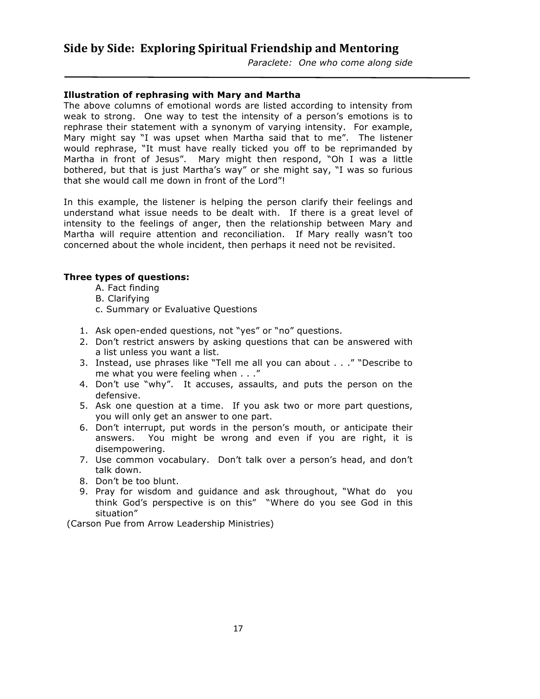*Paraclete: One who come along side* 

### **Illustration of rephrasing with Mary and Martha**

The above columns of emotional words are listed according to intensity from weak to strong. One way to test the intensity of a person's emotions is to rephrase their statement with a synonym of varying intensity. For example, Mary might say "I was upset when Martha said that to me". The listener would rephrase, "It must have really ticked you off to be reprimanded by Martha in front of Jesus". Mary might then respond, "Oh I was a little bothered, but that is just Martha's way" or she might say, "I was so furious that she would call me down in front of the Lord"!

In this example, the listener is helping the person clarify their feelings and understand what issue needs to be dealt with. If there is a great level of intensity to the feelings of anger, then the relationship between Mary and Martha will require attention and reconciliation. If Mary really wasn't too concerned about the whole incident, then perhaps it need not be revisited.

### **Three types of questions:**

- A. Fact finding
- B. Clarifying
- c. Summary or Evaluative Questions
- 1. Ask open-ended questions, not "yes" or "no" questions.
- 2. Don't restrict answers by asking questions that can be answered with a list unless you want a list.
- 3. Instead, use phrases like "Tell me all you can about . . ." "Describe to me what you were feeling when . . ."
- 4. Don't use "why". It accuses, assaults, and puts the person on the defensive.
- 5. Ask one question at a time. If you ask two or more part questions, you will only get an answer to one part.
- 6. Don't interrupt, put words in the person's mouth, or anticipate their answers. You might be wrong and even if you are right, it is disempowering.
- 7. Use common vocabulary. Don't talk over a person's head, and don't talk down.
- 8. Don't be too blunt.
- 9. Pray for wisdom and guidance and ask throughout, "What do you think God's perspective is on this" "Where do you see God in this situation"

(Carson Pue from Arrow Leadership Ministries)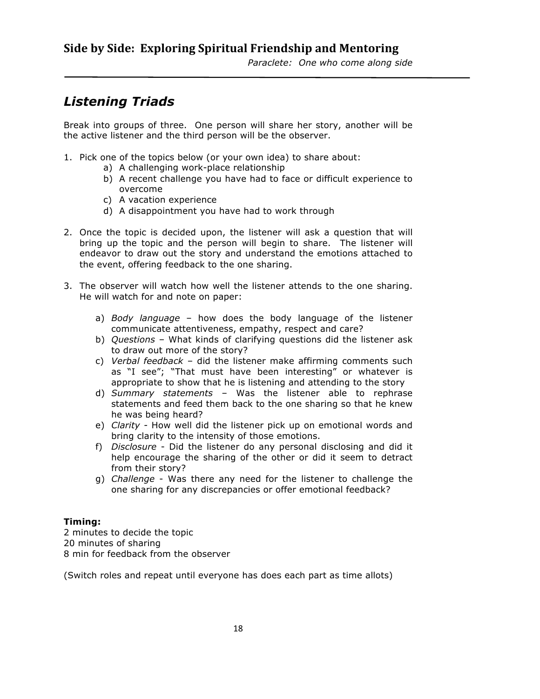# *Listening Triads*

Break into groups of three. One person will share her story, another will be the active listener and the third person will be the observer.

- 1. Pick one of the topics below (or your own idea) to share about:
	- a) A challenging work-place relationship
	- b) A recent challenge you have had to face or difficult experience to overcome
	- c) A vacation experience
	- d) A disappointment you have had to work through
- 2. Once the topic is decided upon, the listener will ask a question that will bring up the topic and the person will begin to share. The listener will endeavor to draw out the story and understand the emotions attached to the event, offering feedback to the one sharing.
- 3. The observer will watch how well the listener attends to the one sharing. He will watch for and note on paper:
	- a) *Body language* how does the body language of the listener communicate attentiveness, empathy, respect and care?
	- b) *Questions* What kinds of clarifying questions did the listener ask to draw out more of the story?
	- c) *Verbal feedback* did the listener make affirming comments such as "I see"; "That must have been interesting" or whatever is appropriate to show that he is listening and attending to the story
	- d) *Summary statements* Was the listener able to rephrase statements and feed them back to the one sharing so that he knew he was being heard?
	- e) *Clarity -* How well did the listener pick up on emotional words and bring clarity to the intensity of those emotions.
	- f) *Disclosure* Did the listener do any personal disclosing and did it help encourage the sharing of the other or did it seem to detract from their story?
	- g) *Challenge* Was there any need for the listener to challenge the one sharing for any discrepancies or offer emotional feedback?

### **Timing:**

2 minutes to decide the topic 20 minutes of sharing 8 min for feedback from the observer

(Switch roles and repeat until everyone has does each part as time allots)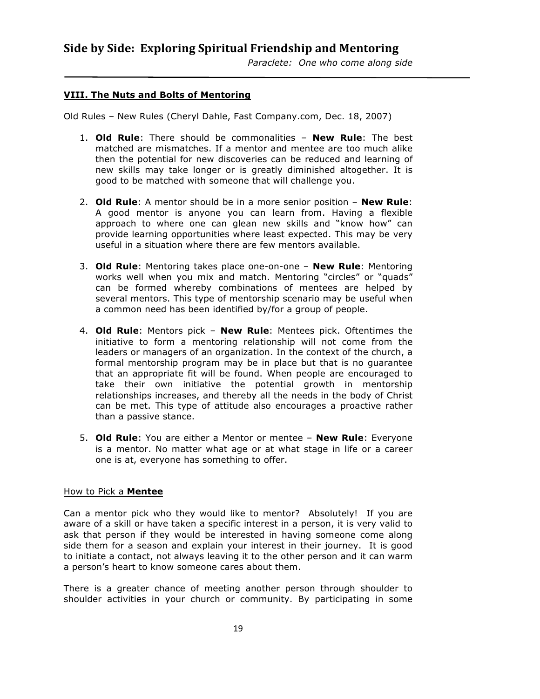### **VIII. The Nuts and Bolts of Mentoring**

Old Rules – New Rules (Cheryl Dahle, Fast Company.com, Dec. 18, 2007)

- 1. **Old Rule**: There should be commonalities **New Rule**: The best matched are mismatches. If a mentor and mentee are too much alike then the potential for new discoveries can be reduced and learning of new skills may take longer or is greatly diminished altogether. It is good to be matched with someone that will challenge you.
- 2. **Old Rule**: A mentor should be in a more senior position **New Rule**: A good mentor is anyone you can learn from. Having a flexible approach to where one can glean new skills and "know how" can provide learning opportunities where least expected. This may be very useful in a situation where there are few mentors available.
- 3. **Old Rule**: Mentoring takes place one-on-one **New Rule**: Mentoring works well when you mix and match. Mentoring "circles" or "quads" can be formed whereby combinations of mentees are helped by several mentors. This type of mentorship scenario may be useful when a common need has been identified by/for a group of people.
- 4. **Old Rule**: Mentors pick **New Rule**: Mentees pick. Oftentimes the initiative to form a mentoring relationship will not come from the leaders or managers of an organization. In the context of the church, a formal mentorship program may be in place but that is no guarantee that an appropriate fit will be found. When people are encouraged to take their own initiative the potential growth in mentorship relationships increases, and thereby all the needs in the body of Christ can be met. This type of attitude also encourages a proactive rather than a passive stance.
- 5. **Old Rule**: You are either a Mentor or mentee **New Rule**: Everyone is a mentor. No matter what age or at what stage in life or a career one is at, everyone has something to offer.

### How to Pick a **Mentee**

Can a mentor pick who they would like to mentor? Absolutely! If you are aware of a skill or have taken a specific interest in a person, it is very valid to ask that person if they would be interested in having someone come along side them for a season and explain your interest in their journey. It is good to initiate a contact, not always leaving it to the other person and it can warm a person's heart to know someone cares about them.

There is a greater chance of meeting another person through shoulder to shoulder activities in your church or community. By participating in some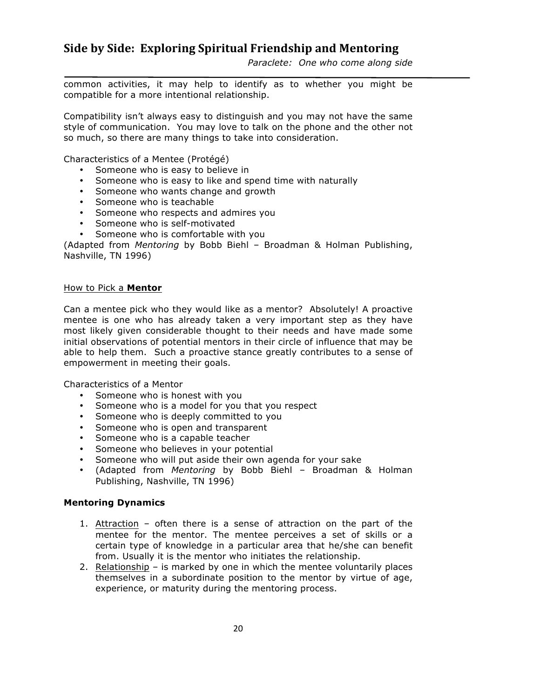common activities, it may help to identify as to whether you might be compatible for a more intentional relationship.

Compatibility isn't always easy to distinguish and you may not have the same style of communication. You may love to talk on the phone and the other not so much, so there are many things to take into consideration.

Characteristics of a Mentee (Protégé)

- Someone who is easy to believe in
- Someone who is easy to like and spend time with naturally
- Someone who wants change and growth
- Someone who is teachable
- Someone who respects and admires you
- Someone who is self-motivated
- Someone who is comfortable with you

(Adapted from *Mentoring* by Bobb Biehl – Broadman & Holman Publishing, Nashville, TN 1996)

### How to Pick a **Mentor**

Can a mentee pick who they would like as a mentor? Absolutely! A proactive mentee is one who has already taken a very important step as they have most likely given considerable thought to their needs and have made some initial observations of potential mentors in their circle of influence that may be able to help them. Such a proactive stance greatly contributes to a sense of empowerment in meeting their goals.

Characteristics of a Mentor

- Someone who is honest with you
- Someone who is a model for you that you respect
- Someone who is deeply committed to you
- Someone who is open and transparent
- Someone who is a capable teacher
- Someone who believes in your potential
- Someone who will put aside their own agenda for your sake
- (Adapted from *Mentoring* by Bobb Biehl Broadman & Holman Publishing, Nashville, TN 1996)

### **Mentoring Dynamics**

- 1. Attraction often there is a sense of attraction on the part of the mentee for the mentor. The mentee perceives a set of skills or a certain type of knowledge in a particular area that he/she can benefit from. Usually it is the mentor who initiates the relationship.
- 2. Relationship is marked by one in which the mentee voluntarily places themselves in a subordinate position to the mentor by virtue of age, experience, or maturity during the mentoring process.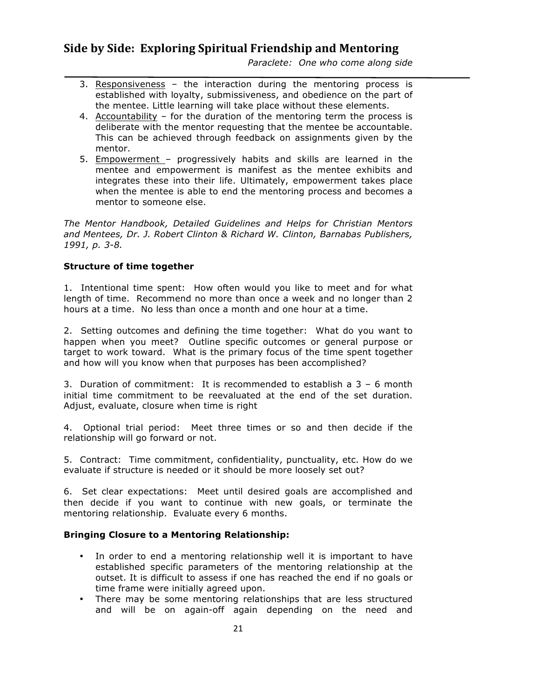*Paraclete: One who come along side* 

- 3. Responsiveness the interaction during the mentoring process is established with loyalty, submissiveness, and obedience on the part of the mentee. Little learning will take place without these elements.
- 4. Accountability for the duration of the mentoring term the process is deliberate with the mentor requesting that the mentee be accountable. This can be achieved through feedback on assignments given by the mentor.
- 5. Empowerment progressively habits and skills are learned in the mentee and empowerment is manifest as the mentee exhibits and integrates these into their life. Ultimately, empowerment takes place when the mentee is able to end the mentoring process and becomes a mentor to someone else.

*The Mentor Handbook, Detailed Guidelines and Helps for Christian Mentors and Mentees, Dr. J. Robert Clinton & Richard W. Clinton, Barnabas Publishers, 1991, p. 3-8.*

### **Structure of time together**

1. Intentional time spent: How often would you like to meet and for what length of time. Recommend no more than once a week and no longer than 2 hours at a time. No less than once a month and one hour at a time.

2. Setting outcomes and defining the time together: What do you want to happen when you meet? Outline specific outcomes or general purpose or target to work toward. What is the primary focus of the time spent together and how will you know when that purposes has been accomplished?

3. Duration of commitment: It is recommended to establish a 3 – 6 month initial time commitment to be reevaluated at the end of the set duration. Adjust, evaluate, closure when time is right

4. Optional trial period: Meet three times or so and then decide if the relationship will go forward or not.

5. Contract: Time commitment, confidentiality, punctuality, etc. How do we evaluate if structure is needed or it should be more loosely set out?

6. Set clear expectations: Meet until desired goals are accomplished and then decide if you want to continue with new goals, or terminate the mentoring relationship. Evaluate every 6 months.

### **Bringing Closure to a Mentoring Relationship:**

- In order to end a mentoring relationship well it is important to have established specific parameters of the mentoring relationship at the outset. It is difficult to assess if one has reached the end if no goals or time frame were initially agreed upon.
- There may be some mentoring relationships that are less structured and will be on again-off again depending on the need and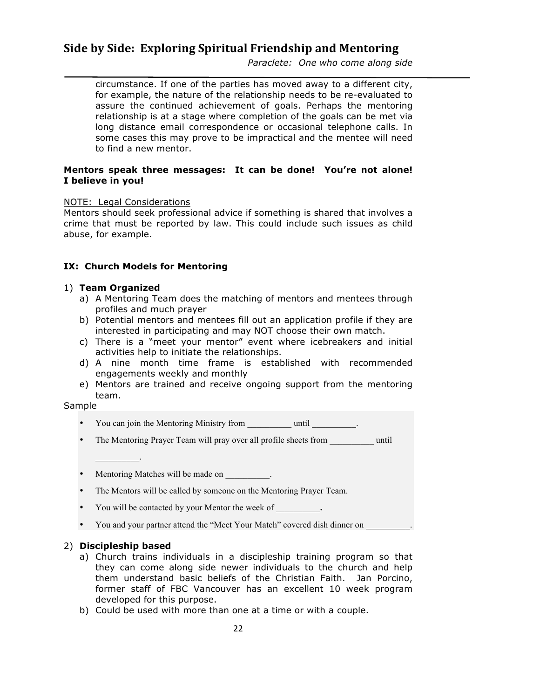*Paraclete: One who come along side* 

circumstance. If one of the parties has moved away to a different city, for example, the nature of the relationship needs to be re-evaluated to assure the continued achievement of goals. Perhaps the mentoring relationship is at a stage where completion of the goals can be met via long distance email correspondence or occasional telephone calls. In some cases this may prove to be impractical and the mentee will need to find a new mentor.

### **Mentors speak three messages: It can be done! You're not alone! I believe in you!**

### NOTE: Legal Considerations

Mentors should seek professional advice if something is shared that involves a crime that must be reported by law. This could include such issues as child abuse, for example.

### **IX: Church Models for Mentoring**

### 1) **Team Organized**

- a) A Mentoring Team does the matching of mentors and mentees through profiles and much prayer
- b) Potential mentors and mentees fill out an application profile if they are interested in participating and may NOT choose their own match.
- c) There is a "meet your mentor" event where icebreakers and initial activities help to initiate the relationships.
- d) A nine month time frame is established with recommended engagements weekly and monthly
- e) Mentors are trained and receive ongoing support from the mentoring team.

### Sample

- You can join the Mentoring Ministry from \_\_\_\_\_\_\_\_\_\_\_\_\_\_\_\_\_\_\_\_\_.
- The Mentoring Prayer Team will pray over all profile sheets from **until**
- Mentoring Matches will be made on  $\blacksquare$ .
- The Mentors will be called by someone on the Mentoring Prayer Team.
- You will be contacted by your Mentor the week of \_\_\_\_\_\_\_\_\_\_**.**
- You and your partner attend the "Meet Your Match" covered dish dinner on

### 2) **Discipleship based**

 $\mathcal{L}=\mathcal{L}^{\mathcal{L}}$ 

- a) Church trains individuals in a discipleship training program so that they can come along side newer individuals to the church and help them understand basic beliefs of the Christian Faith. Jan Porcino, former staff of FBC Vancouver has an excellent 10 week program developed for this purpose.
- b) Could be used with more than one at a time or with a couple.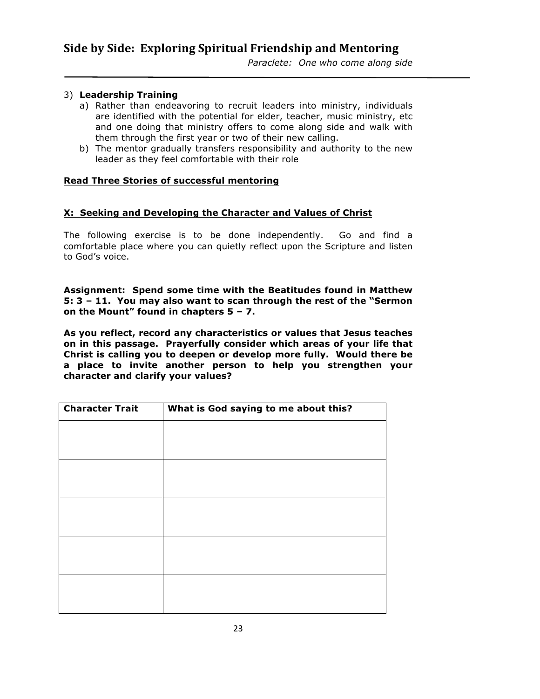### 3) **Leadership Training**

- a) Rather than endeavoring to recruit leaders into ministry, individuals are identified with the potential for elder, teacher, music ministry, etc and one doing that ministry offers to come along side and walk with them through the first year or two of their new calling.
- b) The mentor gradually transfers responsibility and authority to the new leader as they feel comfortable with their role

### **Read Three Stories of successful mentoring**

### **X: Seeking and Developing the Character and Values of Christ**

The following exercise is to be done independently. Go and find a comfortable place where you can quietly reflect upon the Scripture and listen to God's voice.

**Assignment: Spend some time with the Beatitudes found in Matthew 5: 3 – 11. You may also want to scan through the rest of the "Sermon on the Mount" found in chapters 5 – 7.**

**As you reflect, record any characteristics or values that Jesus teaches on in this passage. Prayerfully consider which areas of your life that Christ is calling you to deepen or develop more fully. Would there be a place to invite another person to help you strengthen your character and clarify your values?** 

| <b>Character Trait</b> | What is God saying to me about this? |  |  |
|------------------------|--------------------------------------|--|--|
|                        |                                      |  |  |
|                        |                                      |  |  |
|                        |                                      |  |  |
|                        |                                      |  |  |
|                        |                                      |  |  |
|                        |                                      |  |  |
|                        |                                      |  |  |
|                        |                                      |  |  |
|                        |                                      |  |  |
|                        |                                      |  |  |
|                        |                                      |  |  |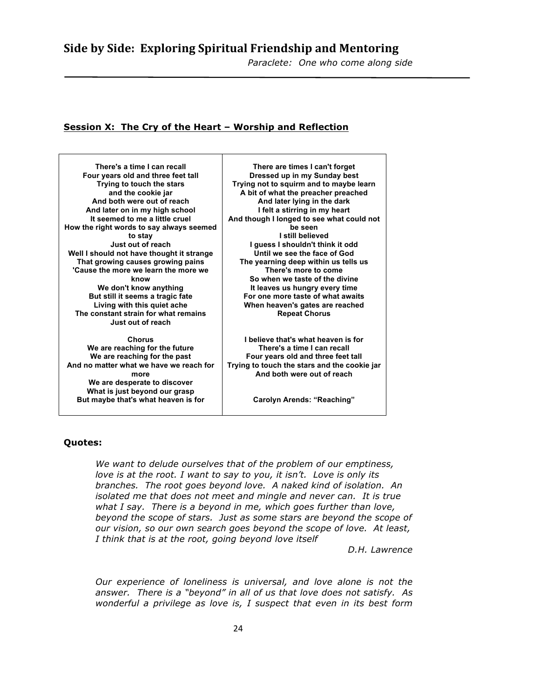### **Session X: The Cry of the Heart – Worship and Reflection**

**There's a time I can recall Four years old and three feet tall Trying to touch the stars and the cookie jar And both were out of reach And later on in my high school It seemed to me a little cruel How the right words to say always seemed to stay Just out of reach Well I should not have thought it strange That growing causes growing pains 'Cause the more we learn the more we know We don't know anything But still it seems a tragic fate Living with this quiet ache The constant strain for what remains Just out of reach**

**Chorus We are reaching for the future We are reaching for the past And no matter what we have we reach for more We are desperate to discover What is just beyond our grasp But maybe that's what heaven is for**

**There are times I can't forget Dressed up in my Sunday best Trying not to squirm and to maybe learn A bit of what the preacher preached And later lying in the dark I felt a stirring in my heart And though I longed to see what could not be seen I still believed I guess I shouldn't think it odd Until we see the face of God The yearning deep within us tells us There's more to come So when we taste of the divine It leaves us hungry every time For one more taste of what awaits When heaven's gates are reached Repeat Chorus**

**I believe that's what heaven is for There's a time I can recall Four years old and three feet tall Trying to touch the stars and the cookie jar And both were out of reach**

**Carolyn Arends: "Reaching"**

### **Quotes:**

*We want to delude ourselves that of the problem of our emptiness, love is at the root. I want to say to you, it isn't. Love is only its branches. The root goes beyond love. A naked kind of isolation. An isolated me that does not meet and mingle and never can. It is true what I say. There is a beyond in me, which goes further than love, beyond the scope of stars. Just as some stars are beyond the scope of our vision, so our own search goes beyond the scope of love. At least, I think that is at the root, going beyond love itself*

*D.H. Lawrence*

*Our experience of loneliness is universal, and love alone is not the answer. There is a "beyond" in all of us that love does not satisfy. As wonderful a privilege as love is, I suspect that even in its best form*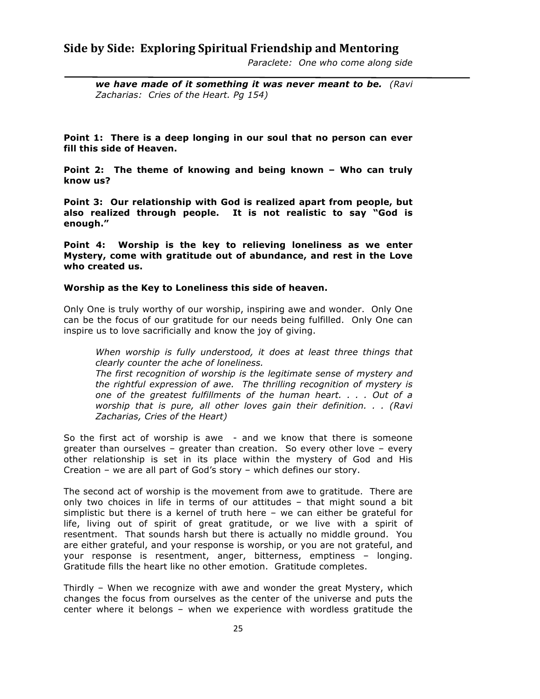*Paraclete: One who come along side* 

*we have made of it something it was never meant to be. (Ravi Zacharias: Cries of the Heart. Pg 154)*

**Point 1: There is a deep longing in our soul that no person can ever fill this side of Heaven.**

**Point 2: The theme of knowing and being known – Who can truly know us?**

**Point 3: Our relationship with God is realized apart from people, but also realized through people. It is not realistic to say "God is enough."**

**Point 4: Worship is the key to relieving loneliness as we enter Mystery, come with gratitude out of abundance, and rest in the Love who created us.**

### **Worship as the Key to Loneliness this side of heaven.**

Only One is truly worthy of our worship, inspiring awe and wonder. Only One can be the focus of our gratitude for our needs being fulfilled. Only One can inspire us to love sacrificially and know the joy of giving.

*When worship is fully understood, it does at least three things that clearly counter the ache of loneliness.*

*The first recognition of worship is the legitimate sense of mystery and the rightful expression of awe. The thrilling recognition of mystery is one of the greatest fulfillments of the human heart. . . . Out of a worship that is pure, all other loves gain their definition. . . (Ravi Zacharias, Cries of the Heart)*

So the first act of worship is awe - and we know that there is someone greater than ourselves – greater than creation. So every other love – every other relationship is set in its place within the mystery of God and His Creation – we are all part of God's story – which defines our story.

The second act of worship is the movement from awe to gratitude. There are only two choices in life in terms of our attitudes – that might sound a bit simplistic but there is a kernel of truth here – we can either be grateful for life, living out of spirit of great gratitude, or we live with a spirit of resentment. That sounds harsh but there is actually no middle ground. You are either grateful, and your response is worship, or you are not grateful, and your response is resentment, anger, bitterness, emptiness – longing. Gratitude fills the heart like no other emotion. Gratitude completes.

Thirdly – When we recognize with awe and wonder the great Mystery, which changes the focus from ourselves as the center of the universe and puts the center where it belongs – when we experience with wordless gratitude the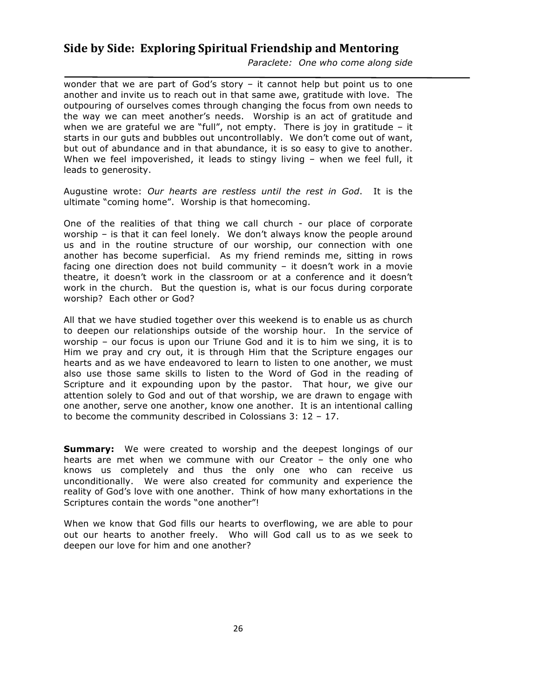*Paraclete: One who come along side* 

wonder that we are part of God's story – it cannot help but point us to one another and invite us to reach out in that same awe, gratitude with love. The outpouring of ourselves comes through changing the focus from own needs to the way we can meet another's needs. Worship is an act of gratitude and when we are grateful we are "full", not empty. There is joy in gratitude  $-$  it starts in our guts and bubbles out uncontrollably. We don't come out of want, but out of abundance and in that abundance, it is so easy to give to another. When we feel impoverished, it leads to stingy living - when we feel full, it leads to generosity.

Augustine wrote: *Our hearts are restless until the rest in God*. It is the ultimate "coming home". Worship is that homecoming.

One of the realities of that thing we call church - our place of corporate worship – is that it can feel lonely. We don't always know the people around us and in the routine structure of our worship, our connection with one another has become superficial. As my friend reminds me, sitting in rows facing one direction does not build community – it doesn't work in a movie theatre, it doesn't work in the classroom or at a conference and it doesn't work in the church. But the question is, what is our focus during corporate worship? Each other or God?

All that we have studied together over this weekend is to enable us as church to deepen our relationships outside of the worship hour. In the service of worship – our focus is upon our Triune God and it is to him we sing, it is to Him we pray and cry out, it is through Him that the Scripture engages our hearts and as we have endeavored to learn to listen to one another, we must also use those same skills to listen to the Word of God in the reading of Scripture and it expounding upon by the pastor. That hour, we give our attention solely to God and out of that worship, we are drawn to engage with one another, serve one another, know one another. It is an intentional calling to become the community described in Colossians 3: 12 – 17.

**Summary:** We were created to worship and the deepest longings of our hearts are met when we commune with our Creator – the only one who knows us completely and thus the only one who can receive us unconditionally. We were also created for community and experience the reality of God's love with one another. Think of how many exhortations in the Scriptures contain the words "one another"!

When we know that God fills our hearts to overflowing, we are able to pour out our hearts to another freely. Who will God call us to as we seek to deepen our love for him and one another?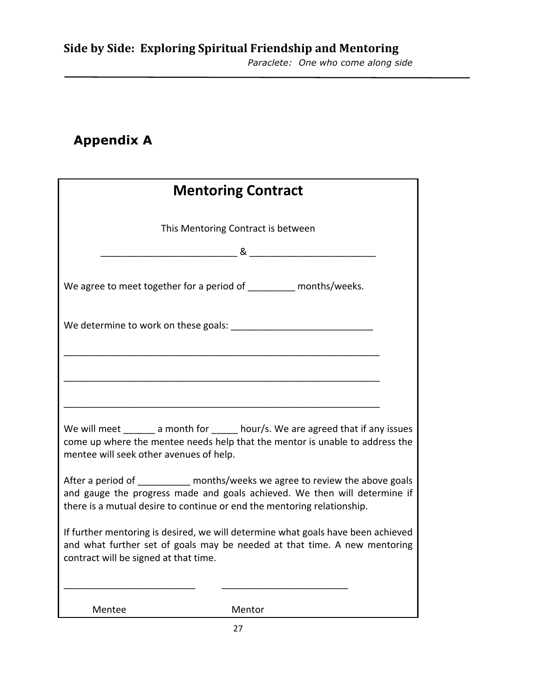# **Appendix A**

| <b>Mentoring Contract</b>                                                                                                                                                                                                 |  |  |  |  |  |
|---------------------------------------------------------------------------------------------------------------------------------------------------------------------------------------------------------------------------|--|--|--|--|--|
| This Mentoring Contract is between                                                                                                                                                                                        |  |  |  |  |  |
|                                                                                                                                                                                                                           |  |  |  |  |  |
| We agree to meet together for a period of _________ months/weeks.                                                                                                                                                         |  |  |  |  |  |
| We determine to work on these goals: We determine to work on these goals:                                                                                                                                                 |  |  |  |  |  |
|                                                                                                                                                                                                                           |  |  |  |  |  |
|                                                                                                                                                                                                                           |  |  |  |  |  |
| We will meet a month for hour/s. We are agreed that if any issues<br>come up where the mentee needs help that the mentor is unable to address the<br>mentee will seek other avenues of help.                              |  |  |  |  |  |
| After a period of months/weeks we agree to review the above goals<br>and gauge the progress made and goals achieved. We then will determine if<br>there is a mutual desire to continue or end the mentoring relationship. |  |  |  |  |  |
| If further mentoring is desired, we will determine what goals have been achieved<br>and what further set of goals may be needed at that time. A new mentoring<br>contract will be signed at that time.                    |  |  |  |  |  |
|                                                                                                                                                                                                                           |  |  |  |  |  |
| Mentee<br>Mentor                                                                                                                                                                                                          |  |  |  |  |  |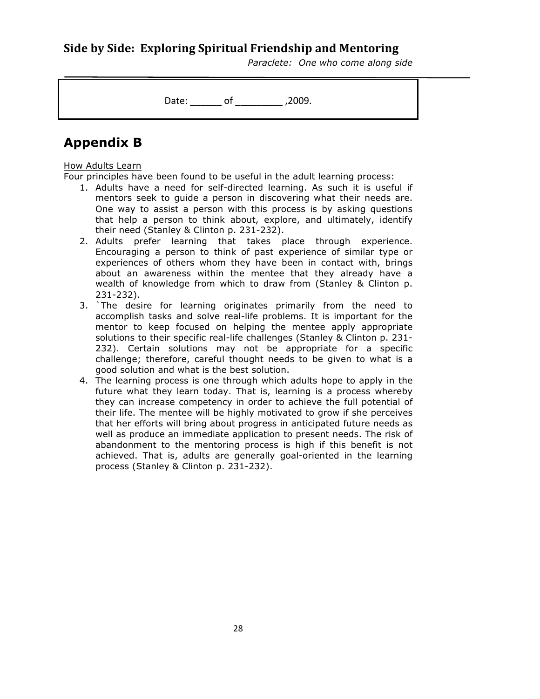*Paraclete: One who come along side* 

Date: \_\_\_\_\_\_\_ of \_\_\_\_\_\_\_\_\_\_ ,2009.

# **Appendix B**

### How Adults Learn

Four principles have been found to be useful in the adult learning process:

- 1. Adults have a need for self-directed learning. As such it is useful if mentors seek to guide a person in discovering what their needs are. One way to assist a person with this process is by asking questions that help a person to think about, explore, and ultimately, identify their need (Stanley & Clinton p. 231-232).
- 2. Adults prefer learning that takes place through experience. Encouraging a person to think of past experience of similar type or experiences of others whom they have been in contact with, brings about an awareness within the mentee that they already have a wealth of knowledge from which to draw from (Stanley & Clinton p. 231-232).
- 3. `The desire for learning originates primarily from the need to accomplish tasks and solve real-life problems. It is important for the mentor to keep focused on helping the mentee apply appropriate solutions to their specific real-life challenges (Stanley & Clinton p. 231- 232). Certain solutions may not be appropriate for a specific challenge; therefore, careful thought needs to be given to what is a good solution and what is the best solution.
- 4. The learning process is one through which adults hope to apply in the future what they learn today. That is, learning is a process whereby they can increase competency in order to achieve the full potential of their life. The mentee will be highly motivated to grow if she perceives that her efforts will bring about progress in anticipated future needs as well as produce an immediate application to present needs. The risk of abandonment to the mentoring process is high if this benefit is not achieved. That is, adults are generally goal-oriented in the learning process (Stanley & Clinton p. 231-232).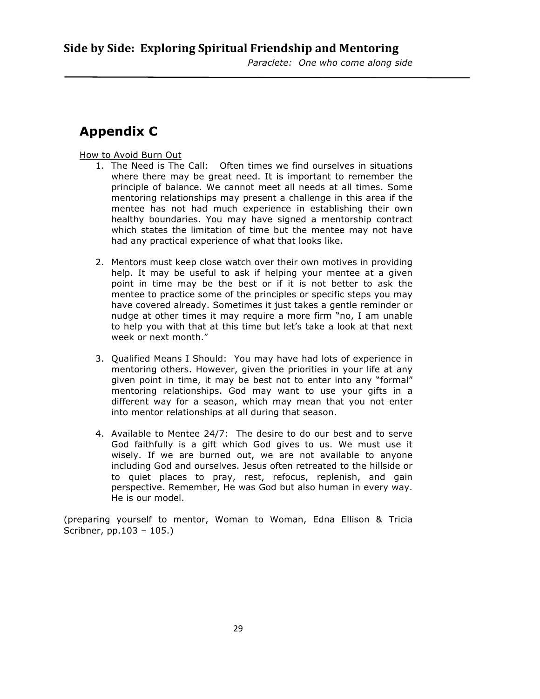# **Appendix C**

How to Avoid Burn Out

- 1. The Need is The Call: Often times we find ourselves in situations where there may be great need. It is important to remember the principle of balance. We cannot meet all needs at all times. Some mentoring relationships may present a challenge in this area if the mentee has not had much experience in establishing their own healthy boundaries. You may have signed a mentorship contract which states the limitation of time but the mentee may not have had any practical experience of what that looks like.
- 2. Mentors must keep close watch over their own motives in providing help. It may be useful to ask if helping your mentee at a given point in time may be the best or if it is not better to ask the mentee to practice some of the principles or specific steps you may have covered already. Sometimes it just takes a gentle reminder or nudge at other times it may require a more firm "no, I am unable to help you with that at this time but let's take a look at that next week or next month."
- 3. Qualified Means I Should: You may have had lots of experience in mentoring others. However, given the priorities in your life at any given point in time, it may be best not to enter into any "formal" mentoring relationships. God may want to use your gifts in a different way for a season, which may mean that you not enter into mentor relationships at all during that season.
- 4. Available to Mentee 24/7: The desire to do our best and to serve God faithfully is a gift which God gives to us. We must use it wisely. If we are burned out, we are not available to anyone including God and ourselves. Jesus often retreated to the hillside or to quiet places to pray, rest, refocus, replenish, and gain perspective. Remember, He was God but also human in every way. He is our model.

(preparing yourself to mentor, Woman to Woman, Edna Ellison & Tricia Scribner, pp.103 – 105.)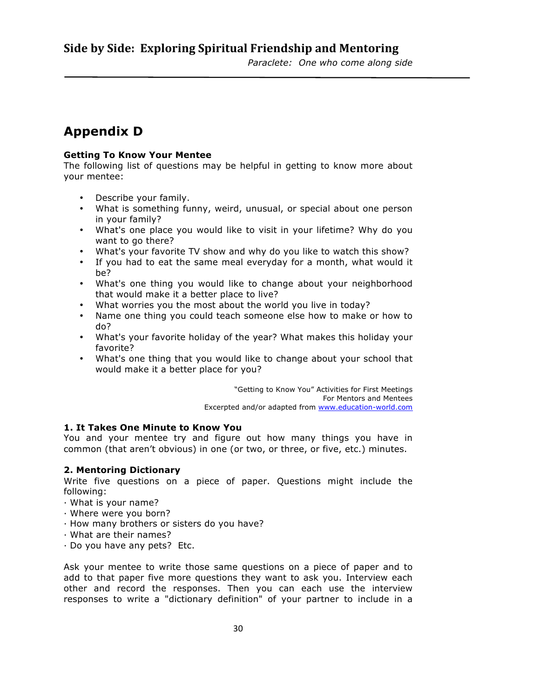# **Appendix D**

### **Getting To Know Your Mentee**

The following list of questions may be helpful in getting to know more about your mentee:

- Describe your family.
- What is something funny, weird, unusual, or special about one person in your family?
- What's one place you would like to visit in your lifetime? Why do you want to go there?
- What's your favorite TV show and why do you like to watch this show?
- If you had to eat the same meal everyday for a month, what would it be?
- What's one thing you would like to change about your neighborhood that would make it a better place to live?
- What worries you the most about the world you live in today?
- Name one thing you could teach someone else how to make or how to do?
- What's your favorite holiday of the year? What makes this holiday your favorite?
- What's one thing that you would like to change about your school that would make it a better place for you?

"Getting to Know You" Activities for First Meetings For Mentors and Mentees Excerpted and/or adapted from www.education-world.com

### **1. It Takes One Minute to Know You**

You and your mentee try and figure out how many things you have in common (that aren't obvious) in one (or two, or three, or five, etc.) minutes.

### **2. Mentoring Dictionary**

Write five questions on a piece of paper. Questions might include the following:

- · What is your name?
- · Where were you born?
- · How many brothers or sisters do you have?
- · What are their names?
- · Do you have any pets? Etc.

Ask your mentee to write those same questions on a piece of paper and to add to that paper five more questions they want to ask you. Interview each other and record the responses. Then you can each use the interview responses to write a "dictionary definition" of your partner to include in a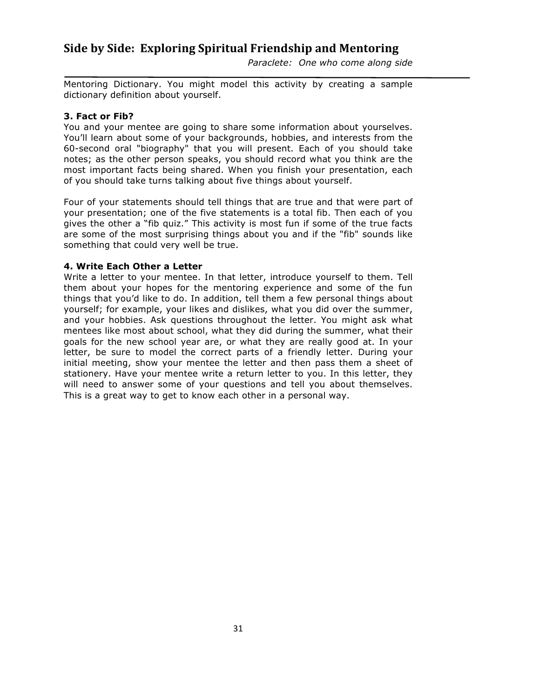*Paraclete: One who come along side* 

Mentoring Dictionary. You might model this activity by creating a sample dictionary definition about yourself.

### **3. Fact or Fib?**

You and your mentee are going to share some information about yourselves. You'll learn about some of your backgrounds, hobbies, and interests from the 60-second oral "biography" that you will present. Each of you should take notes; as the other person speaks, you should record what you think are the most important facts being shared. When you finish your presentation, each of you should take turns talking about five things about yourself.

Four of your statements should tell things that are true and that were part of your presentation; one of the five statements is a total fib. Then each of you gives the other a "fib quiz." This activity is most fun if some of the true facts are some of the most surprising things about you and if the "fib" sounds like something that could very well be true.

### **4. Write Each Other a Letter**

Write a letter to your mentee. In that letter, introduce yourself to them. Tell them about your hopes for the mentoring experience and some of the fun things that you'd like to do. In addition, tell them a few personal things about yourself; for example, your likes and dislikes, what you did over the summer, and your hobbies. Ask questions throughout the letter. You might ask what mentees like most about school, what they did during the summer, what their goals for the new school year are, or what they are really good at. In your letter, be sure to model the correct parts of a friendly letter. During your initial meeting, show your mentee the letter and then pass them a sheet of stationery. Have your mentee write a return letter to you. In this letter, they will need to answer some of your questions and tell you about themselves. This is a great way to get to know each other in a personal way.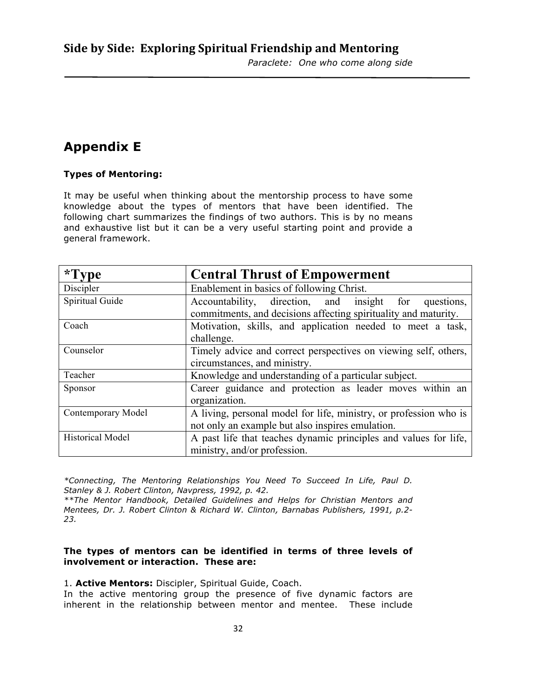# **Appendix E**

### **Types of Mentoring:**

It may be useful when thinking about the mentorship process to have some knowledge about the types of mentors that have been identified. The following chart summarizes the findings of two authors. This is by no means and exhaustive list but it can be a very useful starting point and provide a general framework.

| $*Type$                 | <b>Central Thrust of Empowerment</b>                                                                                        |  |  |
|-------------------------|-----------------------------------------------------------------------------------------------------------------------------|--|--|
| Discipler               | Enablement in basics of following Christ.                                                                                   |  |  |
| Spiritual Guide         | Accountability, direction, and insight for<br>questions,<br>commitments, and decisions affecting spirituality and maturity. |  |  |
| Coach                   | Motivation, skills, and application needed to meet a task,<br>challenge.                                                    |  |  |
| Counselor               | Timely advice and correct perspectives on viewing self, others,<br>circumstances, and ministry.                             |  |  |
| Teacher                 | Knowledge and understanding of a particular subject.                                                                        |  |  |
| Sponsor                 | Career guidance and protection as leader moves within an<br>organization.                                                   |  |  |
| Contemporary Model      | A living, personal model for life, ministry, or profession who is<br>not only an example but also inspires emulation.       |  |  |
| <b>Historical Model</b> | A past life that teaches dynamic principles and values for life,<br>ministry, and/or profession.                            |  |  |

*\*Connecting, The Mentoring Relationships You Need To Succeed In Life, Paul D. Stanley & J. Robert Clinton, Navpress, 1992, p. 42. \*\*The Mentor Handbook, Detailed Guidelines and Helps for Christian Mentors and* 

*Mentees, Dr. J. Robert Clinton & Richard W. Clinton, Barnabas Publishers, 1991, p.2- 23.*

### **The types of mentors can be identified in terms of three levels of involvement or interaction. These are:**

1. **Active Mentors:** Discipler, Spiritual Guide, Coach.

In the active mentoring group the presence of five dynamic factors are inherent in the relationship between mentor and mentee. These include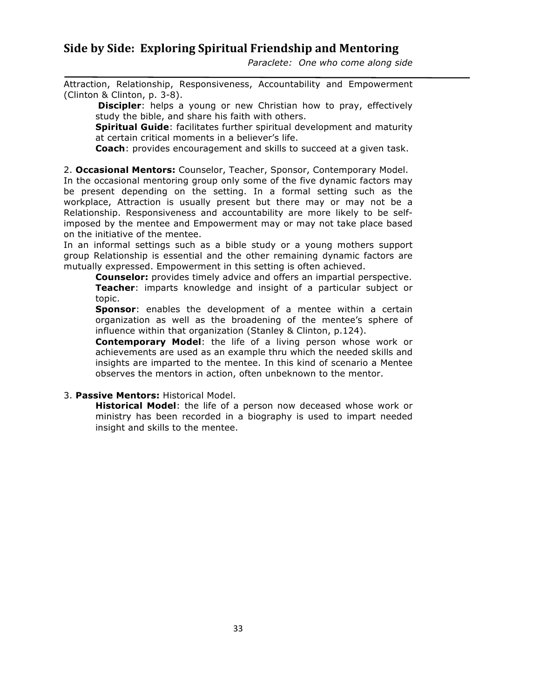*Paraclete: One who come along side* 

Attraction, Relationship, Responsiveness, Accountability and Empowerment (Clinton & Clinton, p. 3-8).

**Discipler**: helps a young or new Christian how to pray, effectively study the bible, and share his faith with others.

**Spiritual Guide**: facilitates further spiritual development and maturity at certain critical moments in a believer's life.

**Coach**: provides encouragement and skills to succeed at a given task.

2. **Occasional Mentors:** Counselor, Teacher, Sponsor, Contemporary Model.

In the occasional mentoring group only some of the five dynamic factors may be present depending on the setting. In a formal setting such as the workplace, Attraction is usually present but there may or may not be a Relationship. Responsiveness and accountability are more likely to be selfimposed by the mentee and Empowerment may or may not take place based on the initiative of the mentee.

In an informal settings such as a bible study or a young mothers support group Relationship is essential and the other remaining dynamic factors are mutually expressed. Empowerment in this setting is often achieved.

**Counselor:** provides timely advice and offers an impartial perspective. **Teacher**: imparts knowledge and insight of a particular subject or topic.

**Sponsor**: enables the development of a mentee within a certain organization as well as the broadening of the mentee's sphere of influence within that organization (Stanley & Clinton, p.124).

**Contemporary Model**: the life of a living person whose work or achievements are used as an example thru which the needed skills and insights are imparted to the mentee. In this kind of scenario a Mentee observes the mentors in action, often unbeknown to the mentor.

### 3. **Passive Mentors:** Historical Model.

**Historical Model**: the life of a person now deceased whose work or ministry has been recorded in a biography is used to impart needed insight and skills to the mentee.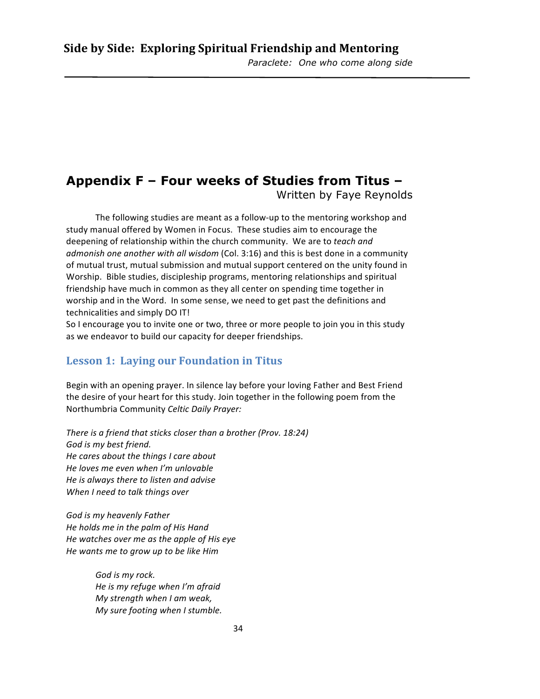# **Appendix F – Four weeks of Studies from Titus –**

Written by Faye Reynolds

The following studies are meant as a follow-up to the mentoring workshop and study manual offered by Women in Focus. These studies aim to encourage the deepening of relationship within the church community. We are to *teach and admonish one another with all wisdom* (Col. 3:16) and this is best done in a community of mutual trust, mutual submission and mutual support centered on the unity found in Worship. Bible studies, discipleship programs, mentoring relationships and spiritual friendship have much in common as they all center on spending time together in worship and in the Word. In some sense, we need to get past the definitions and technicalities and simply DO IT!

So I encourage you to invite one or two, three or more people to join you in this study as we endeavor to build our capacity for deeper friendships.

### Lesson 1: Laying our Foundation in Titus

Begin with an opening prayer. In silence lay before your loving Father and Best Friend the desire of your heart for this study. Join together in the following poem from the Northumbria Community *Celtic Daily Prayer:*

*There is a friend that sticks closer than a brother (Prov. 18:24)* God is my best friend. *He cares about the things I care about He loves me even when I'm unlovable He is always there to listen and advise When I need to talk things over* 

*God is my heavenly Father He holds me in the palm of His Hand He* watches over me as the apple of His eye *He* wants me to grow up to be like Him

> God is my rock. *He is my refuge when I'm afraid My strength when I am weak, My sure footing when I stumble.*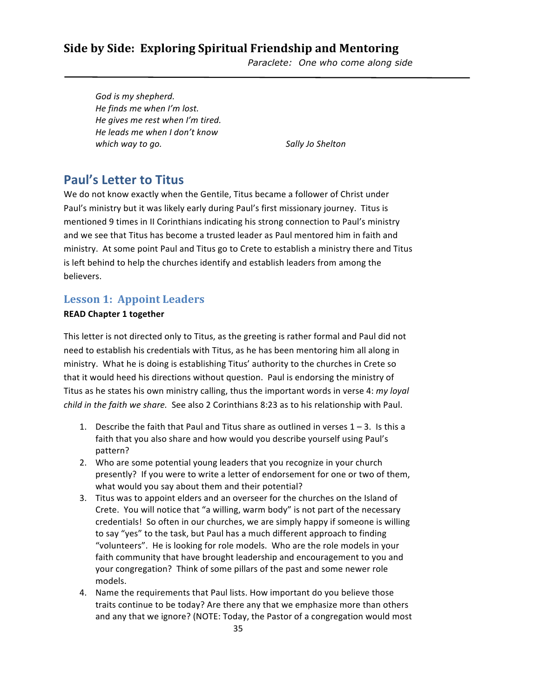*Paraclete: One who come along side* 

God is my shepherd. *He finds me when I'm lost. He gives me rest when I'm tired. He leads me when I don't know which* way to go. *Sally Jo Shelton* 

# **Paul's Letter to Titus**

We do not know exactly when the Gentile, Titus became a follower of Christ under Paul's ministry but it was likely early during Paul's first missionary journey. Titus is mentioned 9 times in II Corinthians indicating his strong connection to Paul's ministry and we see that Titus has become a trusted leader as Paul mentored him in faith and ministry. At some point Paul and Titus go to Crete to establish a ministry there and Titus is left behind to help the churches identify and establish leaders from among the believers.

### Lesson 1: Appoint Leaders

### **READ** Chapter 1 together

This letter is not directed only to Titus, as the greeting is rather formal and Paul did not need to establish his credentials with Titus, as he has been mentoring him all along in ministry. What he is doing is establishing Titus' authority to the churches in Crete so that it would heed his directions without question. Paul is endorsing the ministry of Titus as he states his own ministry calling, thus the important words in verse 4: *my loyal child in the faith we share.* See also 2 Corinthians 8:23 as to his relationship with Paul.

- 1. Describe the faith that Paul and Titus share as outlined in verses  $1 3$ . Is this a faith that you also share and how would you describe yourself using Paul's pattern?
- 2. Who are some potential young leaders that you recognize in your church presently? If you were to write a letter of endorsement for one or two of them, what would you say about them and their potential?
- 3. Titus was to appoint elders and an overseer for the churches on the Island of Crete. You will notice that "a willing, warm body" is not part of the necessary credentials! So often in our churches, we are simply happy if someone is willing to say "yes" to the task, but Paul has a much different approach to finding "volunteers". He is looking for role models. Who are the role models in your faith community that have brought leadership and encouragement to you and your congregation? Think of some pillars of the past and some newer role models.
- 4. Name the requirements that Paul lists. How important do you believe those traits continue to be today? Are there any that we emphasize more than others and any that we ignore? (NOTE: Today, the Pastor of a congregation would most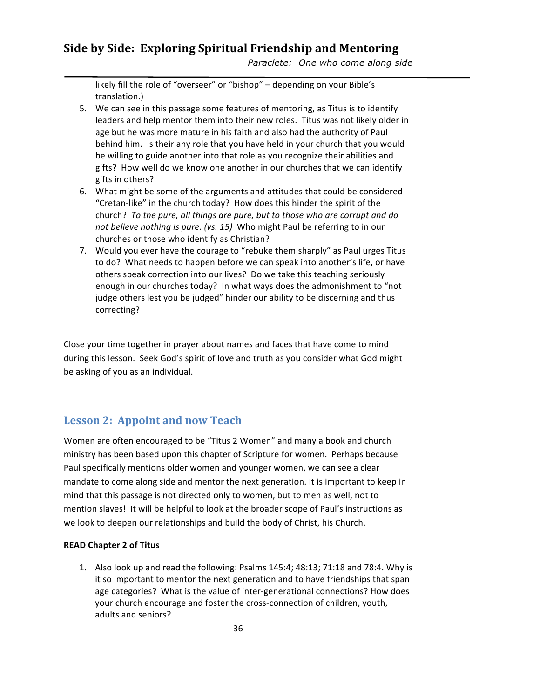*Paraclete: One who come along side* 

likely fill the role of "overseer" or "bishop" - depending on your Bible's translation.)

- 5. We can see in this passage some features of mentoring, as Titus is to identify leaders and help mentor them into their new roles. Titus was not likely older in age but he was more mature in his faith and also had the authority of Paul behind him. Is their any role that you have held in your church that you would be willing to guide another into that role as you recognize their abilities and gifts? How well do we know one another in our churches that we can identify gifts in others?
- 6. What might be some of the arguments and attitudes that could be considered "Cretan-like" in the church today? How does this hinder the spirit of the church? To the pure, all things are pure, but to those who are corrupt and do *not believe nothing is pure.* (vs. 15) Who might Paul be referring to in our churches or those who identify as Christian?
- 7. Would you ever have the courage to "rebuke them sharply" as Paul urges Titus to do? What needs to happen before we can speak into another's life, or have others speak correction into our lives? Do we take this teaching seriously enough in our churches today? In what ways does the admonishment to "not judge others lest you be judged" hinder our ability to be discerning and thus correcting?

Close your time together in prayer about names and faces that have come to mind during this lesson. Seek God's spirit of love and truth as you consider what God might be asking of you as an individual.

### Lesson 2: Appoint and now Teach

Women are often encouraged to be "Titus 2 Women" and many a book and church ministry has been based upon this chapter of Scripture for women. Perhaps because Paul specifically mentions older women and younger women, we can see a clear mandate to come along side and mentor the next generation. It is important to keep in mind that this passage is not directed only to women, but to men as well, not to mention slaves! It will be helpful to look at the broader scope of Paul's instructions as we look to deepen our relationships and build the body of Christ, his Church.

### **READ Chapter 2 of Titus**

1. Also look up and read the following: Psalms 145:4; 48:13; 71:18 and 78:4. Why is it so important to mentor the next generation and to have friendships that span age categories? What is the value of inter-generational connections? How does your church encourage and foster the cross-connection of children, youth, adults and seniors?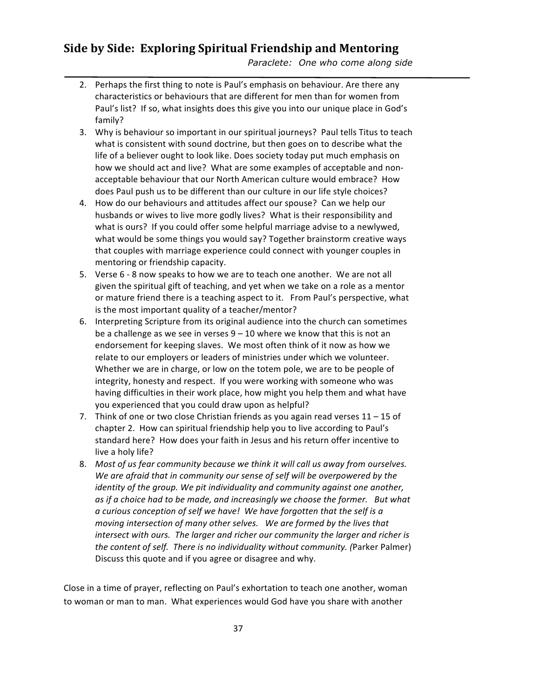*Paraclete: One who come along side* 

- 2. Perhaps the first thing to note is Paul's emphasis on behaviour. Are there any characteristics or behaviours that are different for men than for women from Paul's list? If so, what insights does this give you into our unique place in God's family?
- 3. Why is behaviour so important in our spiritual journeys? Paul tells Titus to teach what is consistent with sound doctrine, but then goes on to describe what the life of a believer ought to look like. Does society today put much emphasis on how we should act and live? What are some examples of acceptable and nonacceptable behaviour that our North American culture would embrace? How does Paul push us to be different than our culture in our life style choices?
- 4. How do our behaviours and attitudes affect our spouse? Can we help our husbands or wives to live more godly lives? What is their responsibility and what is ours? If you could offer some helpful marriage advise to a newlywed, what would be some things you would say? Together brainstorm creative ways that couples with marriage experience could connect with younger couples in mentoring or friendship capacity.
- 5. Verse 6 8 now speaks to how we are to teach one another. We are not all given the spiritual gift of teaching, and yet when we take on a role as a mentor or mature friend there is a teaching aspect to it. From Paul's perspective, what is the most important quality of a teacher/mentor?
- 6. Interpreting Scripture from its original audience into the church can sometimes be a challenge as we see in verses  $9 - 10$  where we know that this is not an endorsement for keeping slaves. We most often think of it now as how we relate to our employers or leaders of ministries under which we volunteer. Whether we are in charge, or low on the totem pole, we are to be people of integrity, honesty and respect. If you were working with someone who was having difficulties in their work place, how might you help them and what have you experienced that you could draw upon as helpful?
- 7. Think of one or two close Christian friends as you again read verses  $11 15$  of chapter 2. How can spiritual friendship help you to live according to Paul's standard here? How does your faith in Jesus and his return offer incentive to live a holy life?
- 8. Most of us fear community because we think it will call us away from ourselves. We are afraid that in community our sense of self will be overpowered by the *identity* of the group. We pit individuality and community against one another, as if a choice had to be made, and increasingly we choose the former. But what *a* curious conception of self we have! We have forgotten that the self is a *moving intersection of many other selves.* We are formed by the lives that *intersect with ours. The larger and richer our community the larger and richer is the content of self. There is no individuality without community.* (Parker Palmer) Discuss this quote and if you agree or disagree and why.

Close in a time of prayer, reflecting on Paul's exhortation to teach one another, woman to woman or man to man. What experiences would God have you share with another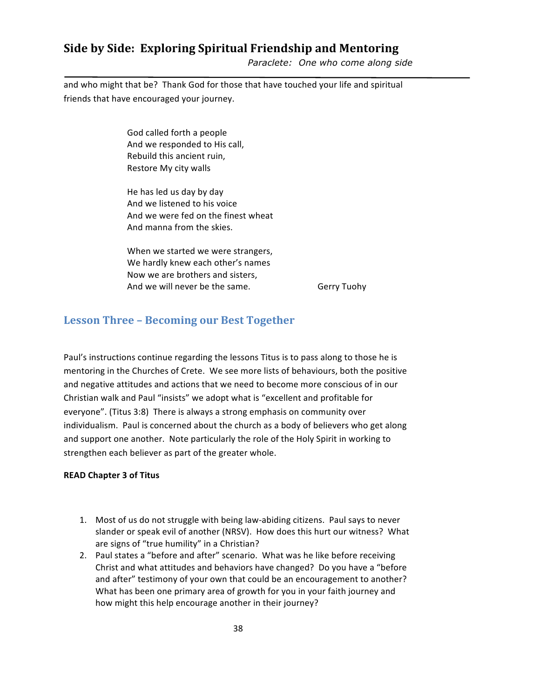*Paraclete: One who come along side* 

and who might that be? Thank God for those that have touched your life and spiritual friends that have encouraged your journey.

> God called forth a people And we responded to His call, Rebuild this ancient ruin, Restore My city walls

He has led us day by day And we listened to his voice And we were fed on the finest wheat And manna from the skies.

When we started we were strangers, We hardly knew each other's names Now we are brothers and sisters, And we will never be the same. Gerry Tuohy

### **Lesson Three - Becoming our Best Together**

Paul's instructions continue regarding the lessons Titus is to pass along to those he is mentoring in the Churches of Crete. We see more lists of behaviours, both the positive and negative attitudes and actions that we need to become more conscious of in our Christian walk and Paul "insists" we adopt what is "excellent and profitable for everyone". (Titus 3:8) There is always a strong emphasis on community over individualism. Paul is concerned about the church as a body of believers who get along and support one another. Note particularly the role of the Holy Spirit in working to strengthen each believer as part of the greater whole.

### **READ Chapter 3 of Titus**

- 1. Most of us do not struggle with being law-abiding citizens. Paul says to never slander or speak evil of another (NRSV). How does this hurt our witness? What are signs of "true humility" in a Christian?
- 2. Paul states a "before and after" scenario. What was he like before receiving Christ and what attitudes and behaviors have changed? Do you have a "before and after" testimony of your own that could be an encouragement to another? What has been one primary area of growth for you in your faith journey and how might this help encourage another in their journey?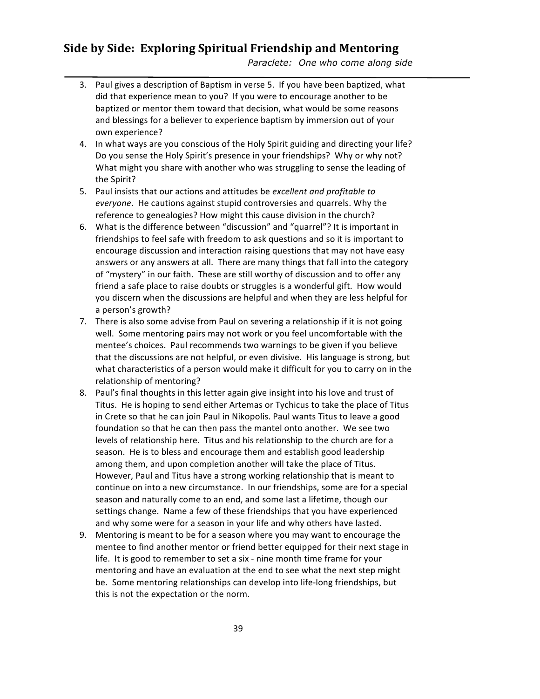*Paraclete: One who come along side* 

- 3. Paul gives a description of Baptism in verse 5. If you have been baptized, what did that experience mean to you? If you were to encourage another to be baptized or mentor them toward that decision, what would be some reasons and blessings for a believer to experience baptism by immersion out of your own experience?
- 4. In what ways are you conscious of the Holy Spirit guiding and directing your life? Do you sense the Holy Spirit's presence in your friendships? Why or why not? What might you share with another who was struggling to sense the leading of the Spirit?
- 5. Paul insists that our actions and attitudes be excellent and profitable to everyone. He cautions against stupid controversies and quarrels. Why the reference to genealogies? How might this cause division in the church?
- 6. What is the difference between "discussion" and "quarrel"? It is important in friendships to feel safe with freedom to ask questions and so it is important to encourage discussion and interaction raising questions that may not have easy answers or any answers at all. There are many things that fall into the category of "mystery" in our faith. These are still worthy of discussion and to offer any friend a safe place to raise doubts or struggles is a wonderful gift. How would you discern when the discussions are helpful and when they are less helpful for a person's growth?
- 7. There is also some advise from Paul on severing a relationship if it is not going well. Some mentoring pairs may not work or you feel uncomfortable with the mentee's choices. Paul recommends two warnings to be given if you believe that the discussions are not helpful, or even divisive. His language is strong, but what characteristics of a person would make it difficult for you to carry on in the relationship of mentoring?
- 8. Paul's final thoughts in this letter again give insight into his love and trust of Titus. He is hoping to send either Artemas or Tychicus to take the place of Titus in Crete so that he can join Paul in Nikopolis. Paul wants Titus to leave a good foundation so that he can then pass the mantel onto another. We see two levels of relationship here. Titus and his relationship to the church are for a season. He is to bless and encourage them and establish good leadership among them, and upon completion another will take the place of Titus. However, Paul and Titus have a strong working relationship that is meant to continue on into a new circumstance. In our friendships, some are for a special season and naturally come to an end, and some last a lifetime, though our settings change. Name a few of these friendships that you have experienced and why some were for a season in your life and why others have lasted.
- 9. Mentoring is meant to be for a season where you may want to encourage the mentee to find another mentor or friend better equipped for their next stage in life. It is good to remember to set a six - nine month time frame for your mentoring and have an evaluation at the end to see what the next step might be. Some mentoring relationships can develop into life-long friendships, but this is not the expectation or the norm.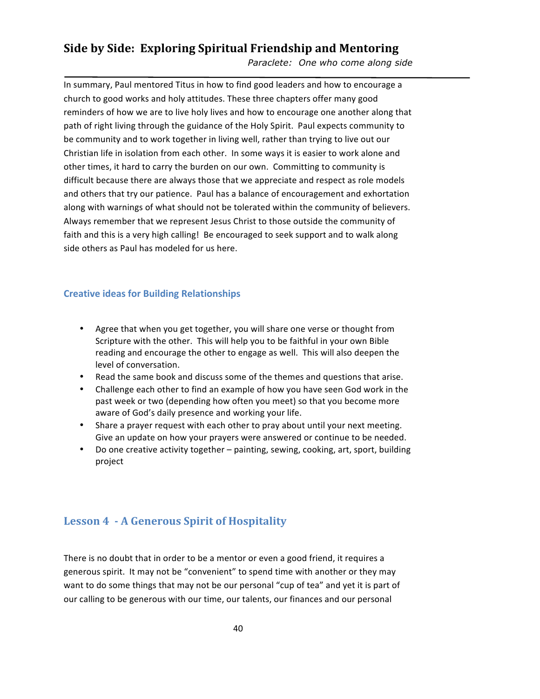*Paraclete: One who come along side* 

In summary, Paul mentored Titus in how to find good leaders and how to encourage a church to good works and holy attitudes. These three chapters offer many good reminders of how we are to live holy lives and how to encourage one another along that path of right living through the guidance of the Holy Spirit. Paul expects community to be community and to work together in living well, rather than trying to live out our Christian life in isolation from each other. In some ways it is easier to work alone and other times, it hard to carry the burden on our own. Committing to community is difficult because there are always those that we appreciate and respect as role models and others that try our patience. Paul has a balance of encouragement and exhortation along with warnings of what should not be tolerated within the community of believers. Always remember that we represent Jesus Christ to those outside the community of faith and this is a very high calling! Be encouraged to seek support and to walk along side others as Paul has modeled for us here.

### **Creative ideas for Building Relationships**

- Agree that when you get together, you will share one verse or thought from Scripture with the other. This will help you to be faithful in your own Bible reading and encourage the other to engage as well. This will also deepen the level of conversation.
- Read the same book and discuss some of the themes and questions that arise.
- Challenge each other to find an example of how you have seen God work in the past week or two (depending how often you meet) so that you become more aware of God's daily presence and working your life.
- Share a prayer request with each other to pray about until your next meeting. Give an update on how your prayers were answered or continue to be needed.
- Do one creative activity together painting, sewing, cooking, art, sport, building project

# Lesson 4 **- A Generous Spirit of Hospitality**

There is no doubt that in order to be a mentor or even a good friend, it requires a generous spirit. It may not be "convenient" to spend time with another or they may want to do some things that may not be our personal "cup of tea" and yet it is part of our calling to be generous with our time, our talents, our finances and our personal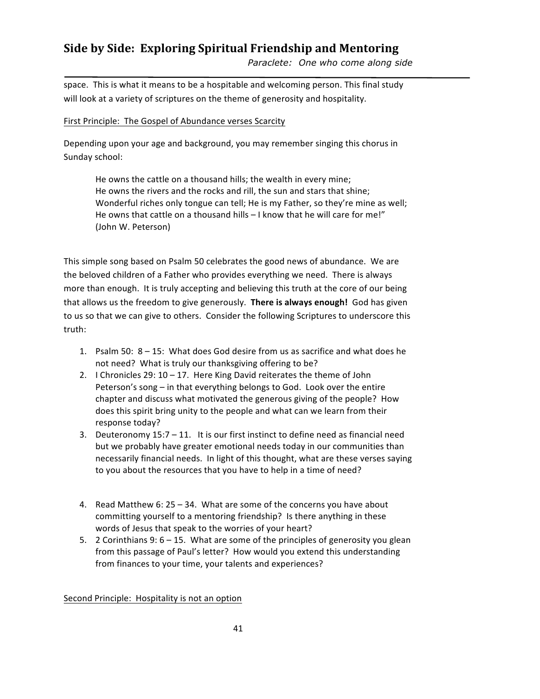*Paraclete: One who come along side* 

space. This is what it means to be a hospitable and welcoming person. This final study will look at a variety of scriptures on the theme of generosity and hospitality.

### First Principle: The Gospel of Abundance verses Scarcity

Depending upon your age and background, you may remember singing this chorus in Sunday school:

He owns the cattle on a thousand hills; the wealth in every mine; He owns the rivers and the rocks and rill, the sun and stars that shine; Wonderful riches only tongue can tell; He is my Father, so they're mine as well; He owns that cattle on a thousand hills  $-1$  know that he will care for me!" (John W. Peterson)

This simple song based on Psalm 50 celebrates the good news of abundance. We are the beloved children of a Father who provides everything we need. There is always more than enough. It is truly accepting and believing this truth at the core of our being that allows us the freedom to give generously. There is always enough! God has given to us so that we can give to others. Consider the following Scriptures to underscore this truth:

- 1. Psalm 50:  $8 15$ : What does God desire from us as sacrifice and what does he not need? What is truly our thanksgiving offering to be?
- 2. I Chronicles 29:  $10 17$ . Here King David reiterates the theme of John Peterson's song – in that everything belongs to God. Look over the entire chapter and discuss what motivated the generous giving of the people? How does this spirit bring unity to the people and what can we learn from their response today?
- 3. Deuteronomy  $15:7 11$ . It is our first instinct to define need as financial need but we probably have greater emotional needs today in our communities than necessarily financial needs. In light of this thought, what are these verses saying to you about the resources that you have to help in a time of need?
- 4. Read Matthew  $6: 25 34$ . What are some of the concerns you have about committing yourself to a mentoring friendship? Is there anything in these words of Jesus that speak to the worries of your heart?
- 5. 2 Corinthians  $9: 6 15$ . What are some of the principles of generosity you glean from this passage of Paul's letter? How would you extend this understanding from finances to your time, your talents and experiences?

Second Principle: Hospitality is not an option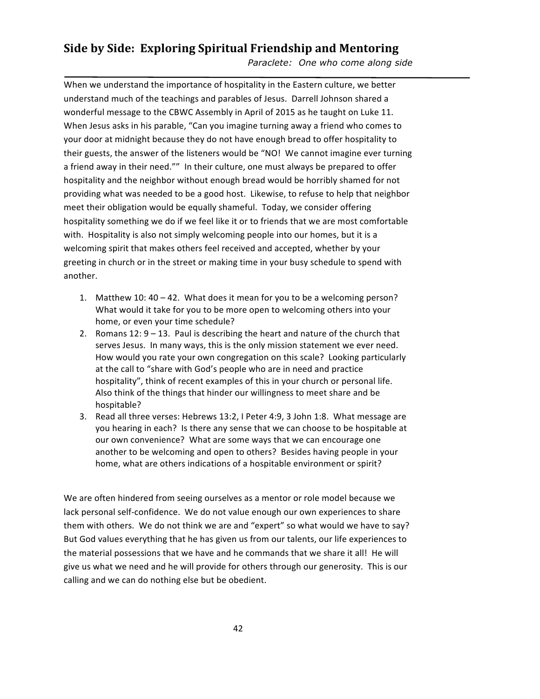*Paraclete: One who come along side* 

When we understand the importance of hospitality in the Eastern culture, we better understand much of the teachings and parables of Jesus. Darrell Johnson shared a wonderful message to the CBWC Assembly in April of 2015 as he taught on Luke 11. When Jesus asks in his parable, "Can you imagine turning away a friend who comes to your door at midnight because they do not have enough bread to offer hospitality to their guests, the answer of the listeners would be "NO! We cannot imagine ever turning a friend away in their need."" In their culture, one must always be prepared to offer hospitality and the neighbor without enough bread would be horribly shamed for not providing what was needed to be a good host. Likewise, to refuse to help that neighbor meet their obligation would be equally shameful. Today, we consider offering hospitality something we do if we feel like it or to friends that we are most comfortable with. Hospitality is also not simply welcoming people into our homes, but it is a welcoming spirit that makes others feel received and accepted, whether by your greeting in church or in the street or making time in your busy schedule to spend with another. 

- 1. Matthew 10:  $40 42$ . What does it mean for you to be a welcoming person? What would it take for you to be more open to welcoming others into your home, or even your time schedule?
- 2. Romans  $12: 9 13$ . Paul is describing the heart and nature of the church that serves Jesus. In many ways, this is the only mission statement we ever need. How would you rate your own congregation on this scale? Looking particularly at the call to "share with God's people who are in need and practice hospitality", think of recent examples of this in your church or personal life. Also think of the things that hinder our willingness to meet share and be hospitable?
- 3. Read all three verses: Hebrews 13:2, I Peter 4:9, 3 John 1:8. What message are you hearing in each? Is there any sense that we can choose to be hospitable at our own convenience? What are some ways that we can encourage one another to be welcoming and open to others? Besides having people in your home, what are others indications of a hospitable environment or spirit?

We are often hindered from seeing ourselves as a mentor or role model because we lack personal self-confidence. We do not value enough our own experiences to share them with others. We do not think we are and "expert" so what would we have to say? But God values everything that he has given us from our talents, our life experiences to the material possessions that we have and he commands that we share it all! He will give us what we need and he will provide for others through our generosity. This is our calling and we can do nothing else but be obedient.